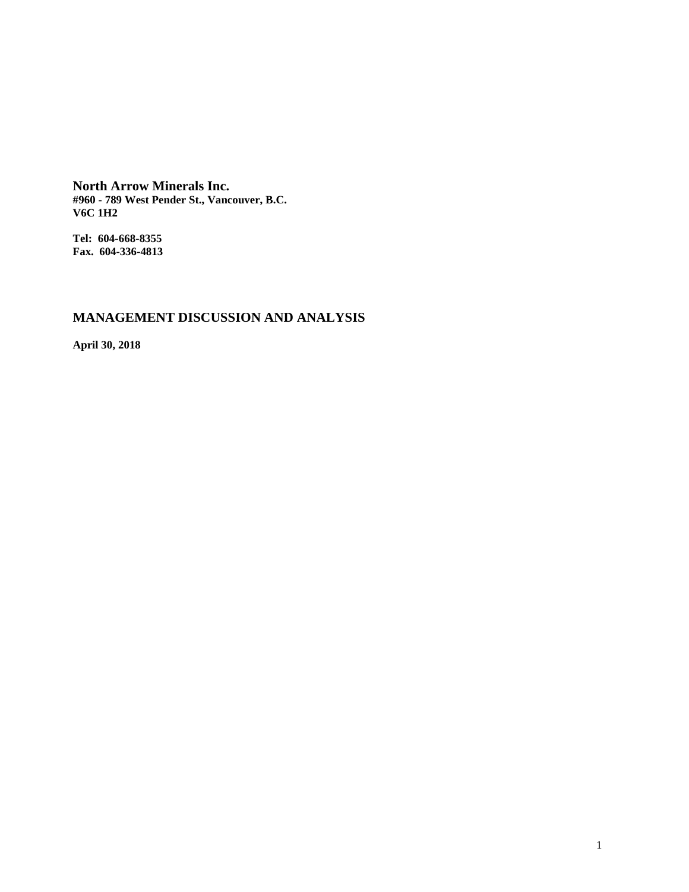**North Arrow Minerals Inc. #960 - 789 West Pender St., Vancouver, B.C. V6C 1H2**

**Tel: 604-668-8355 Fax. 604-336-4813**

# **MANAGEMENT DISCUSSION AND ANALYSIS**

**April 30, 2018**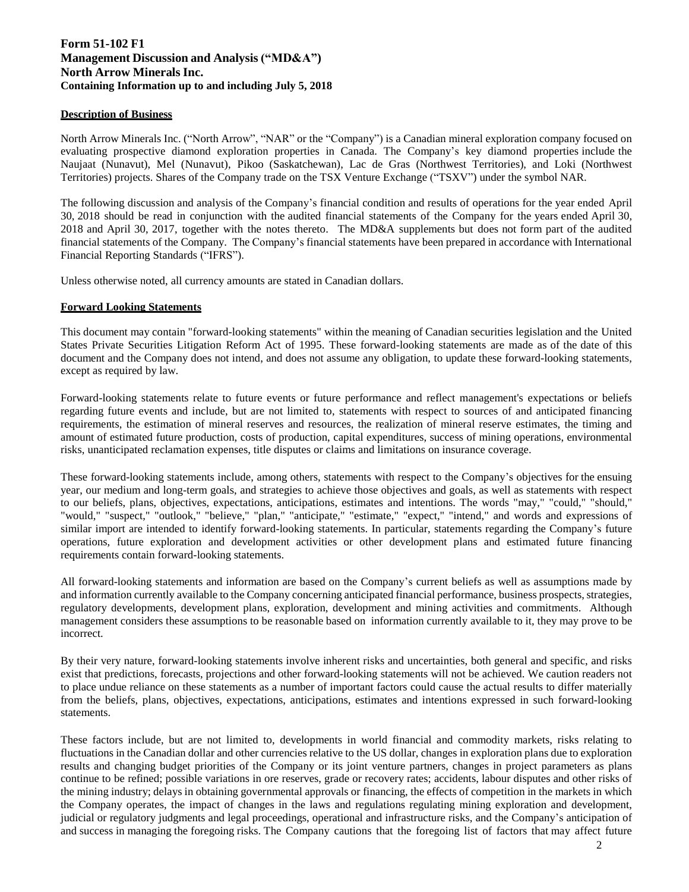# **Form 51-102 F1 Management Discussion and Analysis ("MD&A") North Arrow Minerals Inc. Containing Information up to and including July 5, 2018**

# **Description of Business**

North Arrow Minerals Inc. ("North Arrow", "NAR" or the "Company") is a Canadian mineral exploration company focused on evaluating prospective diamond exploration properties in Canada. The Company's key diamond properties include the Naujaat (Nunavut), Mel (Nunavut), Pikoo (Saskatchewan), Lac de Gras (Northwest Territories), and Loki (Northwest Territories) projects. Shares of the Company trade on the TSX Venture Exchange ("TSXV") under the symbol NAR.

The following discussion and analysis of the Company's financial condition and results of operations for the year ended April 30, 2018 should be read in conjunction with the audited financial statements of the Company for the years ended April 30, 2018 and April 30, 2017, together with the notes thereto. The MD&A supplements but does not form part of the audited financial statements of the Company. The Company's financial statements have been prepared in accordance with International Financial Reporting Standards ("IFRS").

Unless otherwise noted, all currency amounts are stated in Canadian dollars.

# **Forward Looking Statements**

This document may contain "forward-looking statements" within the meaning of Canadian securities legislation and the United States Private Securities Litigation Reform Act of 1995. These forward-looking statements are made as of the date of this document and the Company does not intend, and does not assume any obligation, to update these forward-looking statements, except as required by law.

Forward-looking statements relate to future events or future performance and reflect management's expectations or beliefs regarding future events and include, but are not limited to, statements with respect to sources of and anticipated financing requirements, the estimation of mineral reserves and resources, the realization of mineral reserve estimates, the timing and amount of estimated future production, costs of production, capital expenditures, success of mining operations, environmental risks, unanticipated reclamation expenses, title disputes or claims and limitations on insurance coverage.

These forward-looking statements include, among others, statements with respect to the Company's objectives for the ensuing year, our medium and long-term goals, and strategies to achieve those objectives and goals, as well as statements with respect to our beliefs, plans, objectives, expectations, anticipations, estimates and intentions. The words "may," "could," "should," "would," "suspect," "outlook," "believe," "plan," "anticipate," "estimate," "expect," "intend," and words and expressions of similar import are intended to identify forward-looking statements. In particular, statements regarding the Company's future operations, future exploration and development activities or other development plans and estimated future financing requirements contain forward-looking statements.

All forward-looking statements and information are based on the Company's current beliefs as well as assumptions made by and information currently available to the Company concerning anticipated financial performance, business prospects, strategies, regulatory developments, development plans, exploration, development and mining activities and commitments. Although management considers these assumptions to be reasonable based on information currently available to it, they may prove to be incorrect.

By their very nature, forward-looking statements involve inherent risks and uncertainties, both general and specific, and risks exist that predictions, forecasts, projections and other forward-looking statements will not be achieved. We caution readers not to place undue reliance on these statements as a number of important factors could cause the actual results to differ materially from the beliefs, plans, objectives, expectations, anticipations, estimates and intentions expressed in such forward-looking statements.

These factors include, but are not limited to, developments in world financial and commodity markets, risks relating to fluctuations in the Canadian dollar and other currencies relative to the US dollar, changes in exploration plans due to exploration results and changing budget priorities of the Company or its joint venture partners, changes in project parameters as plans continue to be refined; possible variations in ore reserves, grade or recovery rates; accidents, labour disputes and other risks of the mining industry; delays in obtaining governmental approvals or financing, the effects of competition in the markets in which the Company operates, the impact of changes in the laws and regulations regulating mining exploration and development, judicial or regulatory judgments and legal proceedings, operational and infrastructure risks, and the Company's anticipation of and success in managing the foregoing risks. The Company cautions that the foregoing list of factors that may affect future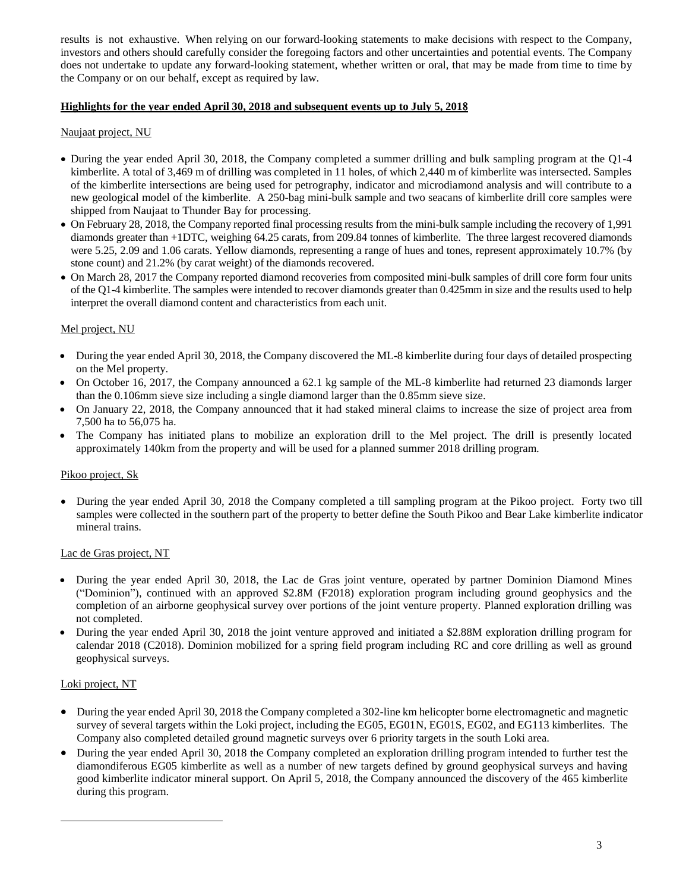results is not exhaustive. When relying on our forward-looking statements to make decisions with respect to the Company, investors and others should carefully consider the foregoing factors and other uncertainties and potential events. The Company does not undertake to update any forward-looking statement, whether written or oral, that may be made from time to time by the Company or on our behalf, except as required by law.

# **Highlights for the year ended April 30, 2018 and subsequent events up to July 5, 201**

# Naujaat project, NU

- During the year ended April 30, 2018, the Company completed a summer drilling and bulk sampling program at the Q1-4 kimberlite. A total of 3,469 m of drilling was completed in 11 holes, of which 2,440 m of kimberlite was intersected. Samples of the kimberlite intersections are being used for petrography, indicator and microdiamond analysis and will contribute to a new geological model of the kimberlite. A 250-bag mini-bulk sample and two seacans of kimberlite drill core samples were shipped from Naujaat to Thunder Bay for processing.
- On February 28, 2018, the Company reported final processing results from the mini-bulk sample including the recovery of 1,991 diamonds greater than +1DTC, weighing 64.25 carats, from 209.84 tonnes of kimberlite. The three largest recovered diamonds were 5.25, 2.09 and 1.06 carats. Yellow diamonds, representing a range of hues and tones, represent approximately 10.7% (by stone count) and 21.2% (by carat weight) of the diamonds recovered.
- On March 28, 2017 the Company reported diamond recoveries from composited mini-bulk samples of drill core form four units of the Q1-4 kimberlite. The samples were intended to recover diamonds greater than 0.425mm in size and the results used to help interpret the overall diamond content and characteristics from each unit.

# Mel project, NU

- During the year ended April 30, 2018, the Company discovered the ML-8 kimberlite during four days of detailed prospecting on the Mel property.
- On October 16, 2017, the Company announced a 62.1 kg sample of the ML-8 kimberlite had returned 23 diamonds larger than the 0.106mm sieve size including a single diamond larger than the 0.85mm sieve size.
- On January 22, 2018, the Company announced that it had staked mineral claims to increase the size of project area from 7,500 ha to 56,075 ha.
- The Company has initiated plans to mobilize an exploration drill to the Mel project. The drill is presently located approximately 140km from the property and will be used for a planned summer 2018 drilling program.

#### Pikoo project, Sk

• During the year ended April 30, 2018 the Company completed a till sampling program at the Pikoo project. Forty two till samples were collected in the southern part of the property to better define the South Pikoo and Bear Lake kimberlite indicator mineral trains.

#### Lac de Gras project, NT

- During the year ended April 30, 2018, the Lac de Gras joint venture, operated by partner Dominion Diamond Mines ("Dominion"), continued with an approved \$2.8M (F2018) exploration program including ground geophysics and the completion of an airborne geophysical survey over portions of the joint venture property. Planned exploration drilling was not completed.
- During the year ended April 30, 2018 the joint venture approved and initiated a \$2.88M exploration drilling program for calendar 2018 (C2018). Dominion mobilized for a spring field program including RC and core drilling as well as ground geophysical surveys.

#### Loki project, NT

- During the year ended April 30, 2018 the Company completed a 302-line km helicopter borne electromagnetic and magnetic survey of several targets within the Loki project, including the EG05, EG01N, EG01S, EG02, and EG113 kimberlites. The Company also completed detailed ground magnetic surveys over 6 priority targets in the south Loki area.
- During the year ended April 30, 2018 the Company completed an exploration drilling program intended to further test the diamondiferous EG05 kimberlite as well as a number of new targets defined by ground geophysical surveys and having good kimberlite indicator mineral support. On April 5, 2018, the Company announced the discovery of the 465 kimberlite during this program.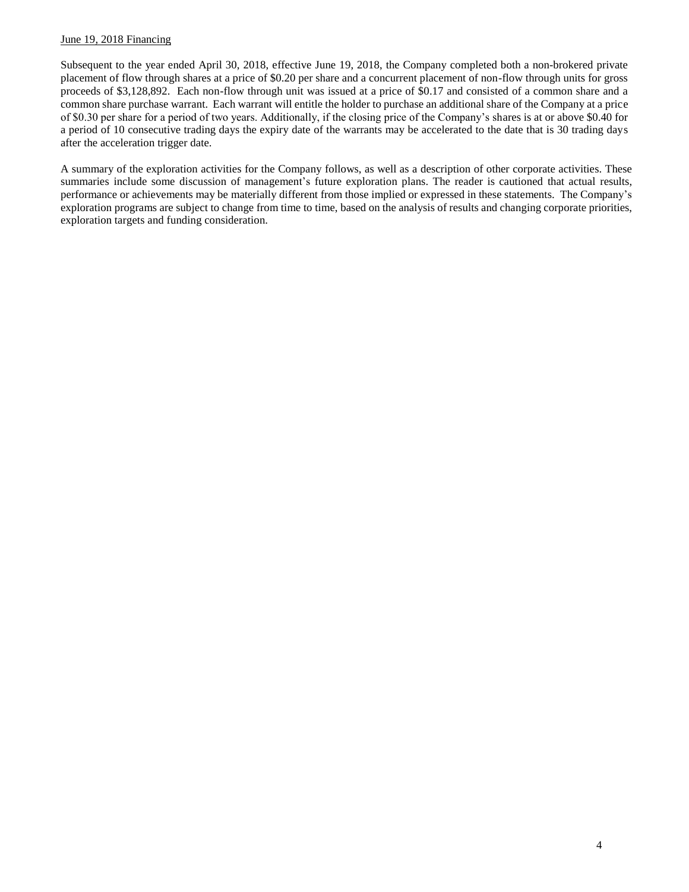# June 19, 2018 Financing

Subsequent to the year ended April 30, 2018, effective June 19, 2018, the Company completed both a non-brokered private placement of flow through shares at a price of \$0.20 per share and a concurrent placement of non-flow through units for gross proceeds of \$3,128,892. Each non-flow through unit was issued at a price of \$0.17 and consisted of a common share and a common share purchase warrant. Each warrant will entitle the holder to purchase an additional share of the Company at a price of \$0.30 per share for a period of two years. Additionally, if the closing price of the Company's shares is at or above \$0.40 for a period of 10 consecutive trading days the expiry date of the warrants may be accelerated to the date that is 30 trading days after the acceleration trigger date.

A summary of the exploration activities for the Company follows, as well as a description of other corporate activities. These summaries include some discussion of management's future exploration plans. The reader is cautioned that actual results, performance or achievements may be materially different from those implied or expressed in these statements. The Company's exploration programs are subject to change from time to time, based on the analysis of results and changing corporate priorities, exploration targets and funding consideration.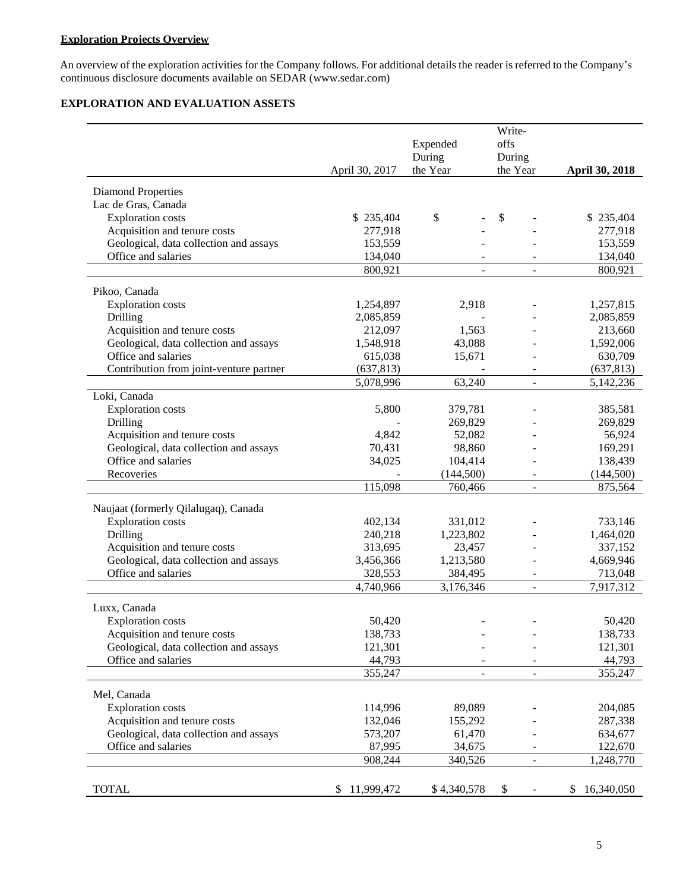# **Exploration Projects Overview**

An overview of the exploration activities for the Company follows. For additional details the reader is referred to the Company's continuous disclosure documents available on [SEDAR \(www.sedar.com](http://www.sedar.com/))

# **EXPLORATION AND EVALUATION ASSETS**

|                                         |                  |                | Write-                   |                  |
|-----------------------------------------|------------------|----------------|--------------------------|------------------|
|                                         |                  | Expended       | offs                     |                  |
|                                         |                  | During         | During                   |                  |
|                                         | April 30, 2017   | the Year       | the Year                 | April 30, 2018   |
|                                         |                  |                |                          |                  |
| <b>Diamond Properties</b>               |                  |                |                          |                  |
| Lac de Gras, Canada                     |                  |                |                          |                  |
| <b>Exploration</b> costs                | \$235,404        | \$             | \$                       | \$235,404        |
| Acquisition and tenure costs            | 277,918          |                |                          | 277,918          |
| Geological, data collection and assays  | 153,559          |                |                          | 153,559          |
| Office and salaries                     | 134,040          |                |                          | 134,040          |
|                                         | 800,921          | $\overline{a}$ |                          | 800,921          |
|                                         |                  |                |                          |                  |
| Pikoo, Canada                           |                  |                |                          |                  |
| <b>Exploration costs</b>                | 1,254,897        | 2,918          |                          | 1,257,815        |
| Drilling                                | 2,085,859        |                |                          | 2,085,859        |
| Acquisition and tenure costs            | 212,097          | 1,563          |                          | 213,660          |
| Geological, data collection and assays  | 1,548,918        | 43,088         |                          | 1,592,006        |
| Office and salaries                     | 615,038          | 15,671         |                          | 630,709          |
| Contribution from joint-venture partner | (637, 813)       |                |                          | (637, 813)       |
|                                         | 5,078,996        | 63,240         | $\overline{a}$           | 5,142,236        |
| Loki, Canada                            |                  |                |                          |                  |
| <b>Exploration costs</b>                | 5,800            | 379,781        |                          | 385,581          |
| Drilling                                |                  | 269,829        |                          | 269,829          |
| Acquisition and tenure costs            | 4,842            | 52,082         |                          | 56,924           |
| Geological, data collection and assays  | 70,431           | 98,860         |                          | 169,291          |
| Office and salaries                     | 34,025           | 104,414        |                          | 138,439          |
| Recoveries                              |                  | (144, 500)     |                          | (144,500)        |
|                                         | 115,098          | 760,466        | $\overline{a}$           | 875,564          |
| Naujaat (formerly Qilalugaq), Canada    |                  |                |                          |                  |
| <b>Exploration</b> costs                | 402,134          | 331,012        |                          | 733,146          |
| Drilling                                | 240,218          | 1,223,802      |                          | 1,464,020        |
| Acquisition and tenure costs            | 313,695          | 23,457         |                          | 337,152          |
| Geological, data collection and assays  | 3,456,366        | 1,213,580      |                          | 4,669,946        |
| Office and salaries                     | 328,553          | 384,495        |                          | 713,048          |
|                                         | 4,740,966        | 3,176,346      |                          | 7,917,312        |
|                                         |                  |                |                          |                  |
| Luxx, Canada                            |                  |                |                          |                  |
| <b>Exploration costs</b>                | 50,420           |                |                          | 50,420           |
| Acquisition and tenure costs            | 138,733          |                |                          | 138,733          |
| Geological, data collection and assays  | 121,301          |                |                          | 121,301          |
| Office and salaries                     | 44,793           |                |                          | 44,793           |
|                                         | 355,247          |                |                          | 355,247          |
| Mel, Canada                             |                  |                |                          |                  |
| <b>Exploration</b> costs                | 114,996          | 89,089         |                          | 204,085          |
| Acquisition and tenure costs            | 132,046          | 155,292        |                          | 287,338          |
| Geological, data collection and assays  |                  |                |                          |                  |
| Office and salaries                     | 573,207          | 61,470         |                          | 634,677          |
|                                         | 87,995           | 34,675         |                          | 122,670          |
|                                         | 908,244          | 340,526        | $\overline{\phantom{0}}$ | 1,248,770        |
|                                         |                  |                |                          |                  |
| <b>TOTAL</b>                            | 11,999,472<br>S. | \$4,340,578    | \$                       | 16,340,050<br>\$ |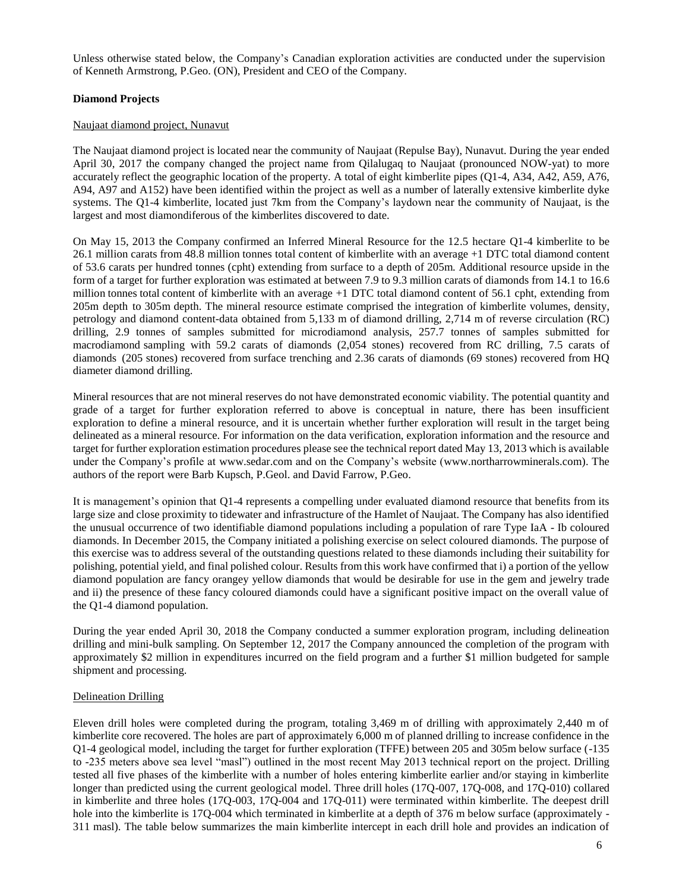Unless otherwise stated below, the Company's Canadian exploration activities are conducted under the supervision of Kenneth Armstrong, P.Geo. (ON), President and CEO of the Company.

# **Diamond Projects**

# Naujaat diamond project, Nunavut

The Naujaat diamond project is located near the community of Naujaat (Repulse Bay), Nunavut. During the year ended April 30, 2017 the company changed the project name from Qilalugaq to Naujaat (pronounced NOW-yat) to more accurately reflect the geographic location of the property. A total of eight kimberlite pipes (Q1-4, A34, A42, A59, A76, A94, A97 and A152) have been identified within the project as well as a number of laterally extensive kimberlite dyke systems. The Q1-4 kimberlite, located just 7km from the Company's laydown near the community of Naujaat, is the largest and most diamondiferous of the kimberlites discovered to date.

On May 15, 2013 the Company confirmed an Inferred Mineral Resource for the 12.5 hectare Q1-4 kimberlite to be 26.1 million carats from 48.8 million tonnes total content of kimberlite with an average +1 DTC total diamond content of 53.6 carats per hundred tonnes (cpht) extending from surface to a depth of 205m. Additional resource upside in the form of a target for further exploration was estimated at between 7.9 to 9.3 million carats of diamonds from 14.1 to 16.6 million tonnes total content of kimberlite with an average +1 DTC total diamond content of 56.1 cpht, extending from 205m depth to 305m depth. The mineral resource estimate comprised the integration of kimberlite volumes, density, petrology and diamond content-data obtained from 5,133 m of diamond drilling, 2,714 m of reverse circulation (RC) drilling, 2.9 tonnes of samples submitted for microdiamond analysis, 257.7 tonnes of samples submitted for macrodiamond sampling with 59.2 carats of diamonds (2,054 stones) recovered from RC drilling, 7.5 carats of diamonds (205 stones) recovered from surface trenching and 2.36 carats of diamonds (69 stones) recovered from HQ diameter diamond drilling.

Mineral resources that are not mineral reserves do not have demonstrated economic viability. The potential quantity and grade of a target for further exploration referred to above is conceptual in nature, there has been insufficient exploration to define a mineral resource, and it is uncertain whether further exploration will result in the target being delineated as a mineral resource. For information on the data verification, exploration information and the resource and target for further exploration estimation procedures please see the technical report dated May 13, 2013 which is available under the Company's profile at [www.sedar.com](http://www.sedar.com/) and on the Company's website [\(www.northarrowminerals.com\)](http://www.northarrowminerals.com/). The authors of the report were Barb Kupsch, P.Geol. and David Farrow, P.Geo.

It is management's opinion that Q1-4 represents a compelling under evaluated diamond resource that benefits from its large size and close proximity to tidewater and infrastructure of the Hamlet of Naujaat. The Company has also identified the unusual occurrence of two identifiable diamond populations including a population of rare Type IaA - Ib coloured diamonds. In December 2015, the Company initiated a polishing exercise on select coloured diamonds. The purpose of this exercise was to address several of the outstanding questions related to these diamonds including their suitability for polishing, potential yield, and final polished colour. Results from this work have confirmed that i) a portion of the yellow diamond population are fancy orangey yellow diamonds that would be desirable for use in the gem and jewelry trade and ii) the presence of these fancy coloured diamonds could have a significant positive impact on the overall value of the Q1-4 diamond population.

During the year ended April 30, 2018 the Company conducted a summer exploration program, including delineation drilling and mini-bulk sampling. On September 12, 2017 the Company announced the completion of the program with approximately \$2 million in expenditures incurred on the field program and a further \$1 million budgeted for sample shipment and processing.

# Delineation Drilling

Eleven drill holes were completed during the program, totaling 3,469 m of drilling with approximately 2,440 m of kimberlite core recovered. The holes are part of approximately 6,000 m of planned drilling to increase confidence in the Q1-4 geological model, including the target for further exploration (TFFE) between 205 and 305m below surface (-135 to -235 meters above sea level "masl") outlined in the most recent May 2013 technical report on the project. Drilling tested all five phases of the kimberlite with a number of holes entering kimberlite earlier and/or staying in kimberlite longer than predicted using the current geological model. Three drill holes (17Q-007, 17Q-008, and 17Q-010) collared in kimberlite and three holes (17Q-003, 17Q-004 and 17Q-011) were terminated within kimberlite. The deepest drill hole into the kimberlite is 17Q-004 which terminated in kimberlite at a depth of 376 m below surface (approximately -311 masl). The table below summarizes the main kimberlite intercept in each drill hole and provides an indication of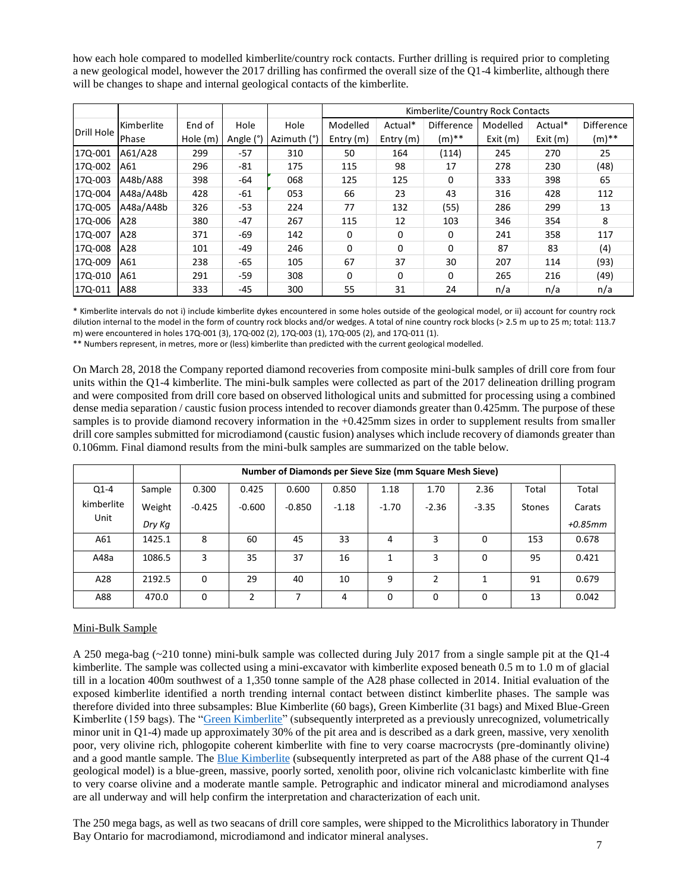how each hole compared to modelled kimberlite/country rock contacts. Further drilling is required prior to completing a new geological model, however the 2017 drilling has confirmed the overall size of the Q1-4 kimberlite, although there will be changes to shape and internal geological contacts of the kimberlite.

|            |            |          |           |             |             | Kimberlite/Country Rock Contacts |                   |          |         |                   |
|------------|------------|----------|-----------|-------------|-------------|----------------------------------|-------------------|----------|---------|-------------------|
| Drill Hole | Kimberlite | End of   | Hole      | Hole        | Modelled    | Actual*                          | <b>Difference</b> | Modelled | Actual* | <b>Difference</b> |
|            | Phase      | Hole (m) | Angle (°) | Azimuth (°) | Entry $(m)$ | Entry $(m)$                      | $(m)$ **          | Exit(m)  | Exit(m) | (m)**             |
| 17Q-001    | A61/A28    | 299      | $-57$     | 310         | 50          | 164                              | (114)             | 245      | 270     | 25                |
| 170-002    | A61        | 296      | $-81$     | 175         | 115         | 98                               | 17                | 278      | 230     | (48)              |
| 170-003    | A48b/A88   | 398      | -64       | 068         | 125         | 125                              | $\Omega$          | 333      | 398     | 65                |
| 170-004    | A48a/A48b  | 428      | $-61$     | 053         | 66          | 23                               | 43                | 316      | 428     | 112               |
| 17Q-005    | A48a/A48b  | 326      | $-53$     | 224         | 77          | 132                              | (55)              | 286      | 299     | 13                |
| 170-006    | A28        | 380      | -47       | 267         | 115         | 12                               | 103               | 346      | 354     | 8                 |
| 17Q-007    | A28        | 371      | -69       | 142         | 0           | $\mathbf 0$                      | 0                 | 241      | 358     | 117               |
| 170-008    | A28        | 101      | $-49$     | 246         | $\Omega$    | $\Omega$                         | $\Omega$          | 87       | 83      | (4)               |
| 170-009    | A61        | 238      | $-65$     | 105         | 67          | 37                               | 30                | 207      | 114     | (93)              |
| 17Q-010    | A61        | 291      | $-59$     | 308         | $\Omega$    | $\Omega$                         | 0                 | 265      | 216     | (49)              |
| 17Q-011    | A88        | 333      | $-45$     | 300         | 55          | 31                               | 24                | n/a      | n/a     | n/a               |

\* Kimberlite intervals do not i) include kimberlite dykes encountered in some holes outside of the geological model, or ii) account for country rock dilution internal to the model in the form of country rock blocks and/or wedges. A total of nine country rock blocks (> 2.5 m up to 25 m; total: 113.7 m) were encountered in holes 17Q-001 (3), 17Q-002 (2), 17Q-003 (1), 17Q-005 (2), and 17Q-011 (1).

\*\* Numbers represent, in metres, more or (less) kimberlite than predicted with the current geological modelled.

On March 28, 2018 the Company reported diamond recoveries from composite mini-bulk samples of drill core from four units within the Q1-4 kimberlite. The mini-bulk samples were collected as part of the 2017 delineation drilling program and were composited from drill core based on observed lithological units and submitted for processing using a combined dense media separation / caustic fusion process intended to recover diamonds greater than 0.425mm. The purpose of these samples is to provide diamond recovery information in the +0.425mm sizes in order to supplement results from smaller drill core samples submitted for microdiamond (caustic fusion) analyses which include recovery of diamonds greater than 0.106mm. Final diamond results from the mini-bulk samples are summarized on the table below.

|            |        |          | Number of Diamonds per Sieve Size (mm Square Mesh Sieve) |          |         |          |         |          |               |            |
|------------|--------|----------|----------------------------------------------------------|----------|---------|----------|---------|----------|---------------|------------|
| $Q1 - 4$   | Sample | 0.300    | 0.425                                                    | 0.600    | 0.850   | 1.18     | 1.70    | 2.36     | Total         | Total      |
| kimberlite | Weight | $-0.425$ | $-0.600$                                                 | $-0.850$ | $-1.18$ | $-1.70$  | $-2.36$ | $-3.35$  | <b>Stones</b> | Carats     |
| Unit       | Dry Kg |          |                                                          |          |         |          |         |          |               | $+0.85$ mm |
| A61        | 1425.1 | 8        | 60                                                       | 45       | 33      | 4        | 3       | $\Omega$ | 153           | 0.678      |
| A48a       | 1086.5 | 3        | 35                                                       | 37       | 16      |          | 3       | 0        | 95            | 0.421      |
| A28        | 2192.5 | $\Omega$ | 29                                                       | 40       | 10      | q        | 2       | 1        | 91            | 0.679      |
| A88        | 470.0  | $\Omega$ | າ                                                        |          | 4       | $\Omega$ | 0       | $\Omega$ | 13            | 0.042      |

# Mini-Bulk Sample

A 250 mega-bag (~210 tonne) mini-bulk sample was collected during July 2017 from a single sample pit at the Q1-4 kimberlite. The sample was collected using a mini-excavator with kimberlite exposed beneath 0.5 m to 1.0 m of glacial till in a location 400m southwest of a 1,350 tonne sample of the A28 phase collected in 2014. Initial evaluation of the exposed kimberlite identified a north trending internal contact between distinct kimberlite phases. The sample was therefore divided into three subsamples: Blue Kimberlite (60 bags), Green Kimberlite (31 bags) and Mixed Blue-Green Kimberlite (159 bags). The ["Green Kimberlite"](https://flic.kr/p/WEAA3U) (subsequently interpreted as a previously unrecognized, volumetrically minor unit in Q1-4) made up approximately 30% of the pit area and is described as a dark green, massive, very xenolith poor, very olivine rich, phlogopite coherent kimberlite with fine to very coarse macrocrysts (pre-dominantly olivine) and a good mantle sample. The [Blue Kimberlite](https://flic.kr/p/WkiHG7) (subsequently interpreted as part of the A88 phase of the current Q1-4 geological model) is a blue-green, massive, poorly sorted, xenolith poor, olivine rich volcaniclastc kimberlite with fine to very coarse olivine and a moderate mantle sample. Petrographic and indicator mineral and microdiamond analyses are all underway and will help confirm the interpretation and characterization of each unit.

The 250 mega bags, as well as two seacans of drill core samples, were shipped to the Microlithics laboratory in Thunder Bay Ontario for macrodiamond, microdiamond and indicator mineral analyses.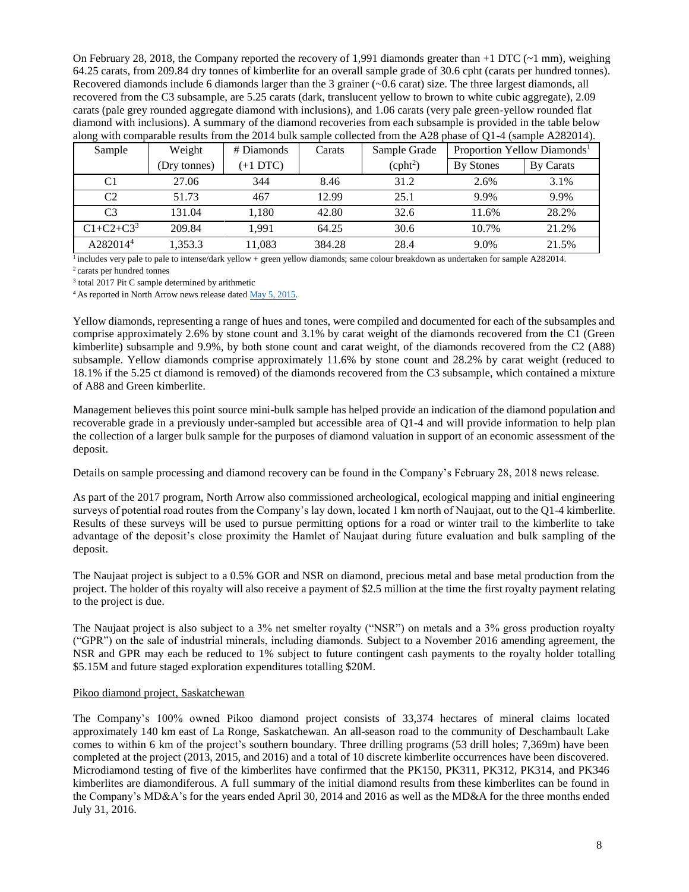On February 28, 2018, the Company reported the recovery of 1,991 diamonds greater than  $+1$  DTC ( $\sim$ 1 mm), weighing 64.25 carats, from 209.84 dry tonnes of kimberlite for an overall sample grade of 30.6 cpht (carats per hundred tonnes). Recovered diamonds include 6 diamonds larger than the 3 grainer (~0.6 carat) size. The three largest diamonds, all recovered from the C3 subsample, are 5.25 carats (dark, translucent yellow to brown to white cubic aggregate), 2.09 carats (pale grey rounded aggregate diamond with inclusions), and 1.06 carats (very pale green-yellow rounded flat diamond with inclusions). A summary of the diamond recoveries from each subsample is provided in the table below along with comparable results from the 2014 bulk sample collected from the A28 phase of Q1-4 (sample A282014).

| Sample               | Weight       | # Diamonds | Carats | Sample Grade         |                  | Proportion Yellow Diamonds <sup>1</sup> |
|----------------------|--------------|------------|--------|----------------------|------------------|-----------------------------------------|
|                      | (Dry tonnes) | $(+1 DTC)$ |        | (cpht <sup>2</sup> ) | <b>By Stones</b> | <b>By Carats</b>                        |
| C1                   | 27.06        | 344        | 8.46   | 31.2                 | 2.6%             | 3.1%                                    |
| C <sub>2</sub>       | 51.73        | 467        | 12.99  | 25.1                 | 9.9%             | 9.9%                                    |
| C <sub>3</sub>       | 131.04       | 1.180      | 42.80  | 32.6                 | 11.6%            | 28.2%                                   |
| $C1 + C2 + C3^3$     | 209.84       | 1.991      | 64.25  | 30.6                 | 10.7%            | 21.2%                                   |
| A282014 <sup>4</sup> | 1,353.3      | 11.083     | 384.28 | 28.4                 | 9.0%             | 21.5%                                   |

 $\frac{1}{1}$  includes very pale to pale to intense/dark yellow + green yellow diamonds; same colour breakdown as undertaken for sample A282014. <sup>2</sup>carats per hundred tonnes

<sup>3</sup> total 2017 Pit C sample determined by arithmetic

<sup>4</sup> As reported in North Arrow news release dated [May 5, 2015.](http://www.northarrowminerals.com/news/press_releases/2015/index.php?content_id=178)

Yellow diamonds, representing a range of hues and tones, were compiled and documented for each of the subsamples and comprise approximately 2.6% by stone count and 3.1% by carat weight of the diamonds recovered from the C1 (Green kimberlite) subsample and 9.9%, by both stone count and carat weight, of the diamonds recovered from the C2 (A88) subsample. Yellow diamonds comprise approximately 11.6% by stone count and 28.2% by carat weight (reduced to 18.1% if the 5.25 ct diamond is removed) of the diamonds recovered from the C3 subsample, which contained a mixture of A88 and Green kimberlite.

Management believes this point source mini-bulk sample has helped provide an indication of the diamond population and recoverable grade in a previously under-sampled but accessible area of Q1-4 and will provide information to help plan the collection of a larger bulk sample for the purposes of diamond valuation in support of an economic assessment of the deposit.

Details on sample processing and diamond recovery can be found in the Company's February 28, 2018 news release.

As part of the 2017 program, North Arrow also commissioned archeological, ecological mapping and initial engineering surveys of potential road routes from the Company's lay down, located 1 km north of Naujaat, out to the Q1-4 kimberlite. Results of these surveys will be used to pursue permitting options for a road or winter trail to the kimberlite to take advantage of the deposit's close proximity the Hamlet of Naujaat during future evaluation and bulk sampling of the deposit.

The Naujaat project is subject to a 0.5% GOR and NSR on diamond, precious metal and base metal production from the project. The holder of this royalty will also receive a payment of \$2.5 million at the time the first royalty payment relating to the project is due.

The Naujaat project is also subject to a 3% net smelter royalty ("NSR") on metals and a 3% gross production royalty ("GPR") on the sale of industrial minerals, including diamonds. Subject to a November 2016 amending agreement, the NSR and GPR may each be reduced to 1% subject to future contingent cash payments to the royalty holder totalling \$5.15M and future staged exploration expenditures totalling \$20M.

#### Pikoo diamond project, Saskatchewan

The Company's 100% owned Pikoo diamond project consists of 33,374 hectares of mineral claims located approximately 140 km east of La Ronge, Saskatchewan. An all-season road to the community of Deschambault Lake comes to within 6 km of the project's southern boundary. Three drilling programs (53 drill holes; 7,369m) have been completed at the project (2013, 2015, and 2016) and a total of 10 discrete kimberlite occurrences have been discovered. Microdiamond testing of five of the kimberlites have confirmed that the PK150, PK311, PK312, PK314, and PK346 kimberlites are diamondiferous. A full summary of the initial diamond results from these kimberlites can be found in the Company's MD&A's for the years ended April 30, 2014 and 2016 as well as the MD&A for the three months ended July 31, 2016.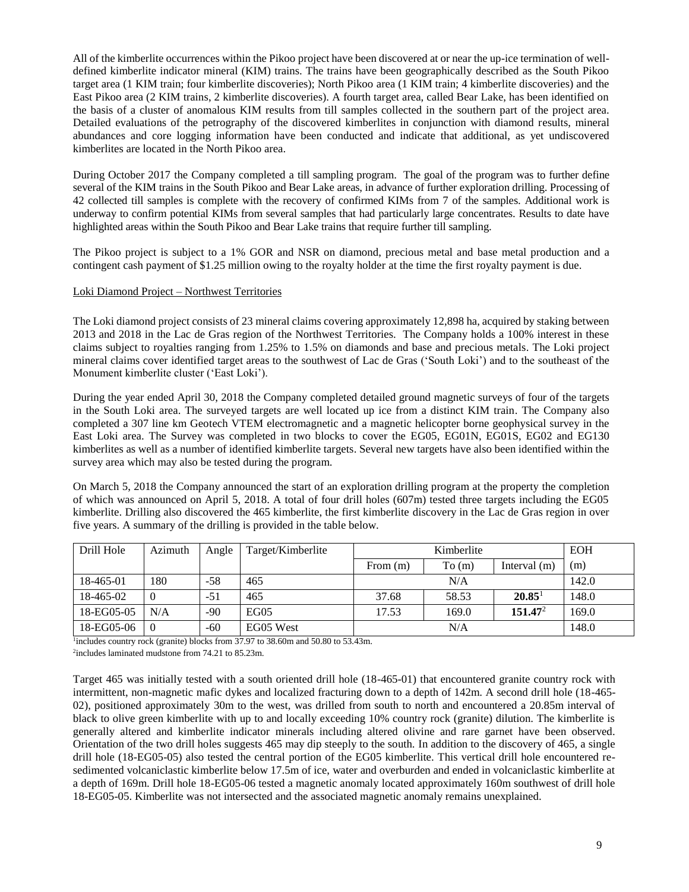All of the kimberlite occurrences within the Pikoo project have been discovered at or near the up-ice termination of welldefined kimberlite indicator mineral (KIM) trains. The trains have been geographically described as the South Pikoo target area (1 KIM train; four kimberlite discoveries); North Pikoo area (1 KIM train; 4 kimberlite discoveries) and the East Pikoo area (2 KIM trains, 2 kimberlite discoveries). A fourth target area, called Bear Lake, has been identified on the basis of a cluster of anomalous KIM results from till samples collected in the southern part of the project area. Detailed evaluations of the petrography of the discovered kimberlites in conjunction with diamond results, mineral abundances and core logging information have been conducted and indicate that additional, as yet undiscovered kimberlites are located in the North Pikoo area.

During October 2017 the Company completed a till sampling program. The goal of the program was to further define several of the KIM trains in the South Pikoo and Bear Lake areas, in advance of further exploration drilling. Processing of 42 collected till samples is complete with the recovery of confirmed KIMs from 7 of the samples. Additional work is underway to confirm potential KIMs from several samples that had particularly large concentrates. Results to date have highlighted areas within the South Pikoo and Bear Lake trains that require further till sampling.

The Pikoo project is subject to a 1% GOR and NSR on diamond, precious metal and base metal production and a contingent cash payment of \$1.25 million owing to the royalty holder at the time the first royalty payment is due.

# Loki Diamond Project – Northwest Territories

The Loki diamond project consists of 23 mineral claims covering approximately 12,898 ha, acquired by staking between 2013 and 2018 in the Lac de Gras region of the Northwest Territories. The Company holds a 100% interest in these claims subject to royalties ranging from 1.25% to 1.5% on diamonds and base and precious metals. The Loki project mineral claims cover identified target areas to the southwest of Lac de Gras ('South Loki') and to the southeast of the Monument kimberlite cluster ('East Loki').

During the year ended April 30, 2018 the Company completed detailed ground magnetic surveys of four of the targets in the South Loki area. The surveyed targets are well located up ice from a distinct KIM train. The Company also completed a 307 line km Geotech VTEM electromagnetic and a magnetic helicopter borne geophysical survey in the East Loki area. The Survey was completed in two blocks to cover the EG05, EG01N, EG01S, EG02 and EG130 kimberlites as well as a number of identified kimberlite targets. Several new targets have also been identified within the survey area which may also be tested during the program.

On March 5, 2018 the Company announced the start of an exploration drilling program at the property the completion of which was announced on April 5, 2018. A total of four drill holes (607m) tested three targets including the EG05 kimberlite. Drilling also discovered the 465 kimberlite, the first kimberlite discovery in the Lac de Gras region in over five years. A summary of the drilling is provided in the table below.

| Drill Hole | Azimuth  | Angle | Target/Kimberlite |            | Kimberlite |                     | <b>EOH</b> |
|------------|----------|-------|-------------------|------------|------------|---------------------|------------|
|            |          |       |                   | From $(m)$ | To(m)      | Interval $(m)$      | (m)        |
| 18-465-01  | 180      | -58   | 465               |            | N/A        |                     | 142.0      |
| 18-465-02  | $\theta$ | $-51$ | 465               | 37.68      | 58.53      | 20.85 <sup>1</sup>  | 148.0      |
| 18-EG05-05 | N/A      | $-90$ | EGO <sub>5</sub>  | 17.53      | 169.0      | 151.47 <sup>2</sup> | 169.0      |
| 18-EG05-06 | $\Omega$ | $-60$ | EG05 West         |            | N/A        |                     | 148.0      |

<sup>1</sup>includes country rock (granite) blocks from 37.97 to 38.60m and 50.80 to 53.43m.

2 includes laminated mudstone from 74.21 to 85.23m.

Target 465 was initially tested with a south oriented drill hole (18-465-01) that encountered granite country rock with intermittent, non-magnetic mafic dykes and localized fracturing down to a depth of 142m. A second drill hole (18-465- 02), positioned approximately 30m to the west, was drilled from south to north and encountered a 20.85m interval of black to olive green kimberlite with up to and locally exceeding 10% country rock (granite) dilution. The kimberlite is generally altered and kimberlite indicator minerals including altered olivine and rare garnet have been observed. Orientation of the two drill holes suggests 465 may dip steeply to the south. In addition to the discovery of 465, a single drill hole (18-EG05-05) also tested the central portion of the EG05 kimberlite. This vertical drill hole encountered resedimented volcaniclastic kimberlite below 17.5m of ice, water and overburden and ended in volcaniclastic kimberlite at a depth of 169m. Drill hole 18-EG05-06 tested a magnetic anomaly located approximately 160m southwest of drill hole 18-EG05-05. Kimberlite was not intersected and the associated magnetic anomaly remains unexplained.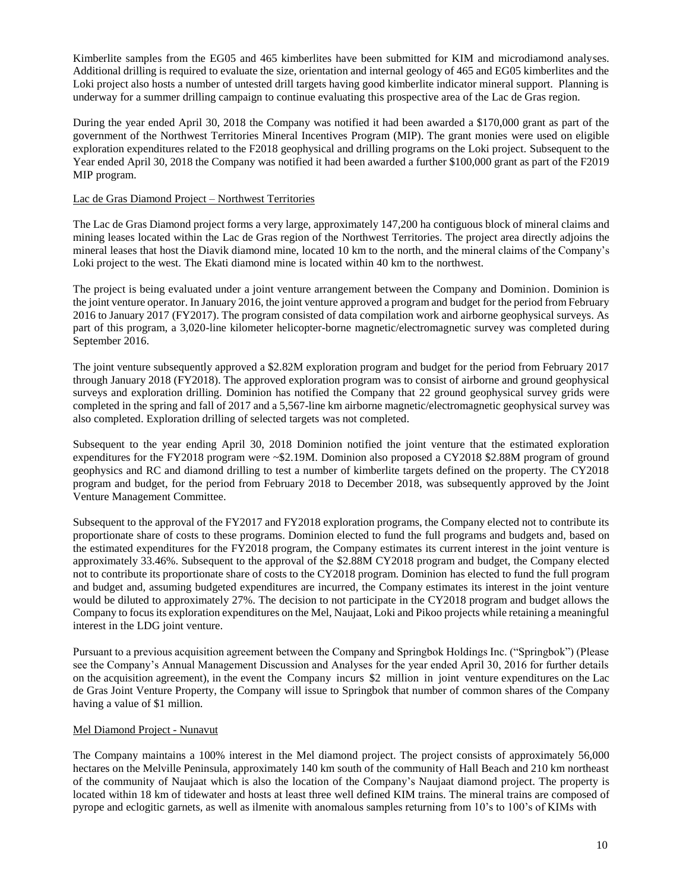Kimberlite samples from the EG05 and 465 kimberlites have been submitted for KIM and microdiamond analyses. Additional drilling is required to evaluate the size, orientation and internal geology of 465 and EG05 kimberlites and the Loki project also hosts a number of untested drill targets having good kimberlite indicator mineral support. Planning is underway for a summer drilling campaign to continue evaluating this prospective area of the Lac de Gras region.

During the year ended April 30, 2018 the Company was notified it had been awarded a \$170,000 grant as part of the government of the Northwest Territories Mineral Incentives Program (MIP). The grant monies were used on eligible exploration expenditures related to the F2018 geophysical and drilling programs on the Loki project. Subsequent to the Year ended April 30, 2018 the Company was notified it had been awarded a further \$100,000 grant as part of the F2019 MIP program.

# Lac de Gras Diamond Project – Northwest Territories

The Lac de Gras Diamond project forms a very large, approximately 147,200 ha contiguous block of mineral claims and mining leases located within the Lac de Gras region of the Northwest Territories. The project area directly adjoins the mineral leases that host the Diavik diamond mine, located 10 km to the north, and the mineral claims of the Company's Loki project to the west. The Ekati diamond mine is located within 40 km to the northwest.

The project is being evaluated under a joint venture arrangement between the Company and Dominion. Dominion is the joint venture operator. In January 2016, the joint venture approved a program and budget for the period from February 2016 to January 2017 (FY2017). The program consisted of data compilation work and airborne geophysical surveys. As part of this program, a 3,020-line kilometer helicopter-borne magnetic/electromagnetic survey was completed during September 2016.

The joint venture subsequently approved a \$2.82M exploration program and budget for the period from February 2017 through January 2018 (FY2018). The approved exploration program was to consist of airborne and ground geophysical surveys and exploration drilling. Dominion has notified the Company that 22 ground geophysical survey grids were completed in the spring and fall of 2017 and a 5,567-line km airborne magnetic/electromagnetic geophysical survey was also completed. Exploration drilling of selected targets was not completed.

Subsequent to the year ending April 30, 2018 Dominion notified the joint venture that the estimated exploration expenditures for the FY2018 program were ~\$2.19M. Dominion also proposed a CY2018 \$2.88M program of ground geophysics and RC and diamond drilling to test a number of kimberlite targets defined on the property. The CY2018 program and budget, for the period from February 2018 to December 2018, was subsequently approved by the Joint Venture Management Committee.

Subsequent to the approval of the FY2017 and FY2018 exploration programs, the Company elected not to contribute its proportionate share of costs to these programs. Dominion elected to fund the full programs and budgets and, based on the estimated expenditures for the FY2018 program, the Company estimates its current interest in the joint venture is approximately 33.46%. Subsequent to the approval of the \$2.88M CY2018 program and budget, the Company elected not to contribute its proportionate share of costs to the CY2018 program. Dominion has elected to fund the full program and budget and, assuming budgeted expenditures are incurred, the Company estimates its interest in the joint venture would be diluted to approximately 27%. The decision to not participate in the CY2018 program and budget allows the Company to focus its exploration expenditures on the Mel, Naujaat, Loki and Pikoo projects while retaining a meaningful interest in the LDG joint venture.

Pursuant to a previous acquisition agreement between the Company and Springbok Holdings Inc. ("Springbok") (Please see the Company's Annual Management Discussion and Analyses for the year ended April 30, 2016 for further details on the acquisition agreement), in the event the Company incurs \$2 million in joint venture expenditures on the Lac de Gras Joint Venture Property, the Company will issue to Springbok that number of common shares of the Company having a value of \$1 million.

#### Mel Diamond Project - Nunavut

The Company maintains a 100% interest in the Mel diamond project. The project consists of approximately 56,000 hectares on the Melville Peninsula, approximately 140 km south of the community of Hall Beach and 210 km northeast of the community of Naujaat which is also the location of the Company's Naujaat diamond project. The property is located within 18 km of tidewater and hosts at least three well defined KIM trains. The mineral trains are composed of pyrope and eclogitic garnets, as well as ilmenite with anomalous samples returning from 10's to 100's of KIMs with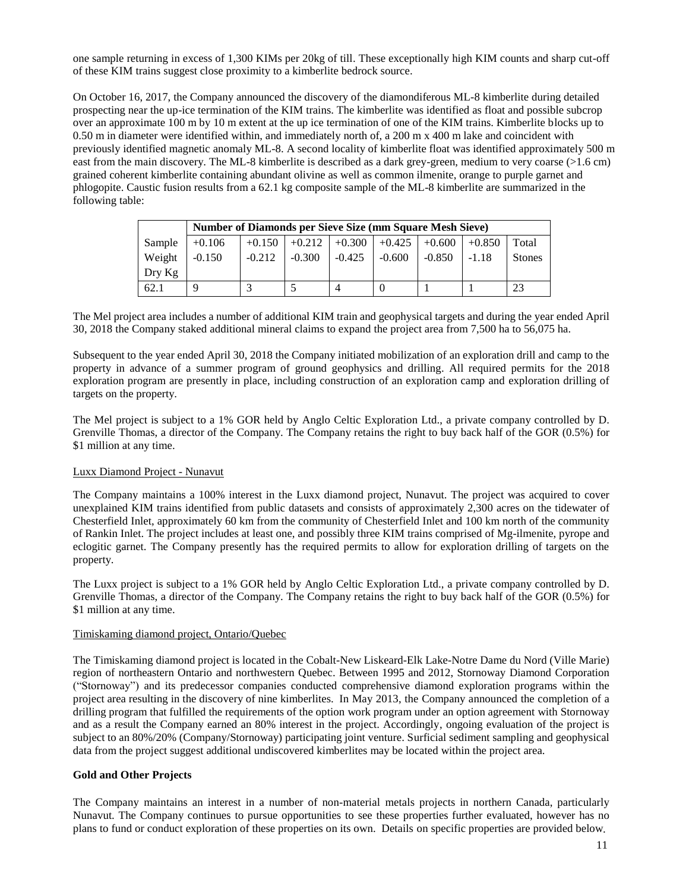one sample returning in excess of 1,300 KIMs per 20kg of till. These exceptionally high KIM counts and sharp cut-off of these KIM trains suggest close proximity to a kimberlite bedrock source.

On October 16, 2017, the Company announced the discovery of the diamondiferous ML-8 kimberlite during detailed prospecting near the up-ice termination of the KIM trains. The kimberlite was identified as float and possible subcrop over an approximate 100 m by 10 m extent at the up ice termination of one of the KIM trains. Kimberlite blocks up to 0.50 m in diameter were identified within, and immediately north of, a 200 m x 400 m lake and coincident with previously identified magnetic anomaly ML-8. A second locality of kimberlite float was identified approximately 500 m east from the main discovery. The ML-8 kimberlite is described as a dark grey-green, medium to very coarse (>1.6 cm) grained coherent kimberlite containing abundant olivine as well as common ilmenite, orange to purple garnet and phlogopite. Caustic fusion results from a 62.1 kg composite sample of the ML-8 kimberlite are summarized in the following table:

|          |          | <b>Number of Diamonds per Sieve Size (mm Square Mesh Sieve)</b> |          |          |                               |          |          |               |  |
|----------|----------|-----------------------------------------------------------------|----------|----------|-------------------------------|----------|----------|---------------|--|
| Sample   | $+0.106$ | $+0.150$                                                        |          |          | $+0.212$ +0.300 +0.425 +0.600 |          | $+0.850$ | Total         |  |
| Weight   | $-0.150$ | $-0.212$                                                        | $-0.300$ | $-0.425$ | $-0.600$                      | $-0.850$ | $-1.18$  | <b>Stones</b> |  |
| $Drv$ Kg |          |                                                                 |          |          |                               |          |          |               |  |
| 62.1     |          |                                                                 |          |          |                               |          |          | 23            |  |

The Mel project area includes a number of additional KIM train and geophysical targets and during the year ended April 30, 2018 the Company staked additional mineral claims to expand the project area from 7,500 ha to 56,075 ha.

Subsequent to the year ended April 30, 2018 the Company initiated mobilization of an exploration drill and camp to the property in advance of a summer program of ground geophysics and drilling. All required permits for the 2018 exploration program are presently in place, including construction of an exploration camp and exploration drilling of targets on the property.

The Mel project is subject to a 1% GOR held by Anglo Celtic Exploration Ltd., a private company controlled by D. Grenville Thomas, a director of the Company. The Company retains the right to buy back half of the GOR (0.5%) for \$1 million at any time.

# Luxx Diamond Project - Nunavut

The Company maintains a 100% interest in the Luxx diamond project, Nunavut. The project was acquired to cover unexplained KIM trains identified from public datasets and consists of approximately 2,300 acres on the tidewater of Chesterfield Inlet, approximately 60 km from the community of Chesterfield Inlet and 100 km north of the community of Rankin Inlet. The project includes at least one, and possibly three KIM trains comprised of Mg-ilmenite, pyrope and eclogitic garnet. The Company presently has the required permits to allow for exploration drilling of targets on the property.

The Luxx project is subject to a 1% GOR held by Anglo Celtic Exploration Ltd., a private company controlled by D. Grenville Thomas, a director of the Company. The Company retains the right to buy back half of the GOR (0.5%) for \$1 million at any time.

#### Timiskaming diamond project, Ontario/Quebec

The Timiskaming diamond project is located in the Cobalt-New Liskeard-Elk Lake-Notre Dame du Nord (Ville Marie) region of northeastern Ontario and northwestern Quebec. Between 1995 and 2012, Stornoway Diamond Corporation ("Stornoway") and its predecessor companies conducted comprehensive diamond exploration programs within the project area resulting in the discovery of nine kimberlites. In May 2013, the Company announced the completion of a drilling program that fulfilled the requirements of the option work program under an option agreement with Stornoway and as a result the Company earned an 80% interest in the project. Accordingly, ongoing evaluation of the project is subject to an 80%/20% (Company/Stornoway) participating joint venture. Surficial sediment sampling and geophysical data from the project suggest additional undiscovered kimberlites may be located within the project area.

#### **Gold and Other Projects**

The Company maintains an interest in a number of non-material metals projects in northern Canada, particularly Nunavut. The Company continues to pursue opportunities to see these properties further evaluated, however has no plans to fund or conduct exploration of these properties on its own. Details on specific properties are provided below.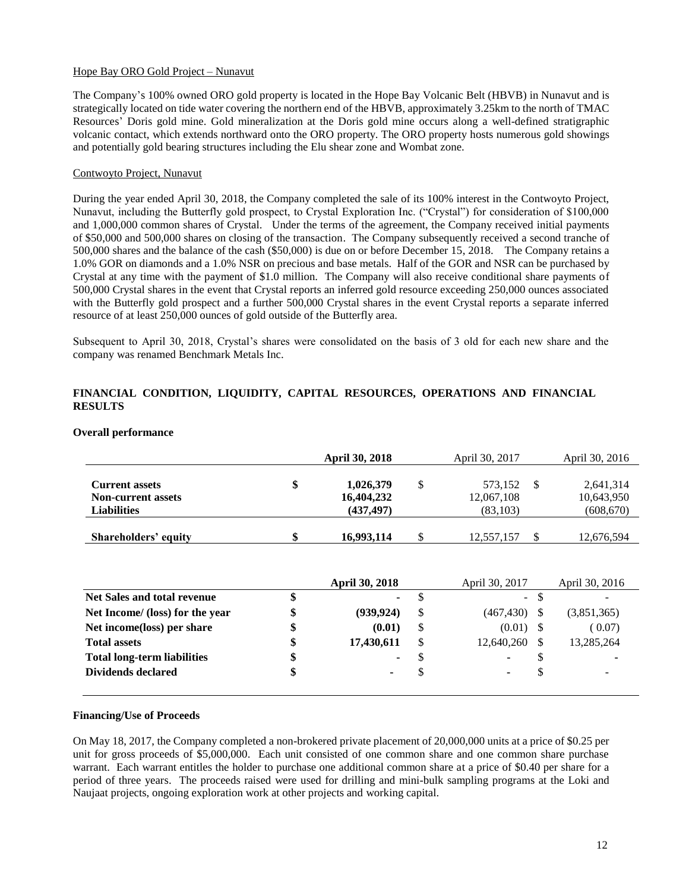# Hope Bay ORO Gold Project – Nunavut

The Company's 100% owned ORO gold property is located in the Hope Bay Volcanic Belt (HBVB) in Nunavut and is strategically located on tide water covering the northern end of the HBVB, approximately 3.25km to the north of TMAC Resources' Doris gold mine. Gold mineralization at the Doris gold mine occurs along a well-defined stratigraphic volcanic contact, which extends northward onto the ORO property. The ORO property hosts numerous gold showings and potentially gold bearing structures including the Elu shear zone and Wombat zone.

# Contwoyto Project, Nunavut

During the year ended April 30, 2018, the Company completed the sale of its 100% interest in the Contwoyto Project, Nunavut, including the Butterfly gold prospect, to Crystal Exploration Inc. ("Crystal") for consideration of \$100,000 and 1,000,000 common shares of Crystal. Under the terms of the agreement, the Company received initial payments of \$50,000 and 500,000 shares on closing of the transaction. The Company subsequently received a second tranche of 500,000 shares and the balance of the cash (\$50,000) is due on or before December 15, 2018. The Company retains a 1.0% GOR on diamonds and a 1.0% NSR on precious and base metals. Half of the GOR and NSR can be purchased by Crystal at any time with the payment of \$1.0 million. The Company will also receive conditional share payments of 500,000 Crystal shares in the event that Crystal reports an inferred gold resource exceeding 250,000 ounces associated with the Butterfly gold prospect and a further 500,000 Crystal shares in the event Crystal reports a separate inferred resource of at least 250,000 ounces of gold outside of the Butterfly area.

Subsequent to April 30, 2018, Crystal's shares were consolidated on the basis of 3 old for each new share and the company was renamed Benchmark Metals Inc.

# **FINANCIAL CONDITION, LIQUIDITY, CAPITAL RESOURCES, OPERATIONS AND FINANCIAL RESULTS**

|                                                                          | <b>April 30, 2018</b>                       |   | April 30, 2017                     | April 30, 2016                        |
|--------------------------------------------------------------------------|---------------------------------------------|---|------------------------------------|---------------------------------------|
| <b>Current assets</b><br><b>Non-current assets</b><br><b>Liabilities</b> | \$<br>1,026,379<br>16,404,232<br>(437, 497) | S | 573,152<br>12,067,108<br>(83, 103) | 2,641,314<br>10,643,950<br>(608, 670) |
| Shareholders' equity                                                     | \$<br>16,993,114                            | S | 12,557,157                         | 12,676,594                            |

#### **Overall performance**

|                                    | <b>April 30, 2018</b> |    | April 30, 2017 |     | April 30, 2016 |
|------------------------------------|-----------------------|----|----------------|-----|----------------|
| Net Sales and total revenue        | \$<br>$\blacksquare$  | ъ  | $\equiv$       |     |                |
| Net Income/ (loss) for the year    | \$<br>(939, 924)      | -S | (467, 430)     |     | (3,851,365)    |
| Net income(loss) per share         | \$<br>(0.01)          | \$ | (0.01)         |     | (0.07)         |
| <b>Total assets</b>                | \$<br>17,430,611      | -S | 12,640,260     |     | 13,285,264     |
| <b>Total long-term liabilities</b> | \$<br>$\blacksquare$  | S  | ۰              |     |                |
| Dividends declared                 | \$<br>۰               | S  | ۰              | \$. | -              |
|                                    |                       |    |                |     |                |

#### **Financing/Use of Proceeds**

On May 18, 2017, the Company completed a non-brokered private placement of 20,000,000 units at a price of \$0.25 per unit for gross proceeds of \$5,000,000. Each unit consisted of one common share and one common share purchase warrant. Each warrant entitles the holder to purchase one additional common share at a price of \$0.40 per share for a period of three years. The proceeds raised were used for drilling and mini-bulk sampling programs at the Loki and Naujaat projects, ongoing exploration work at other projects and working capital.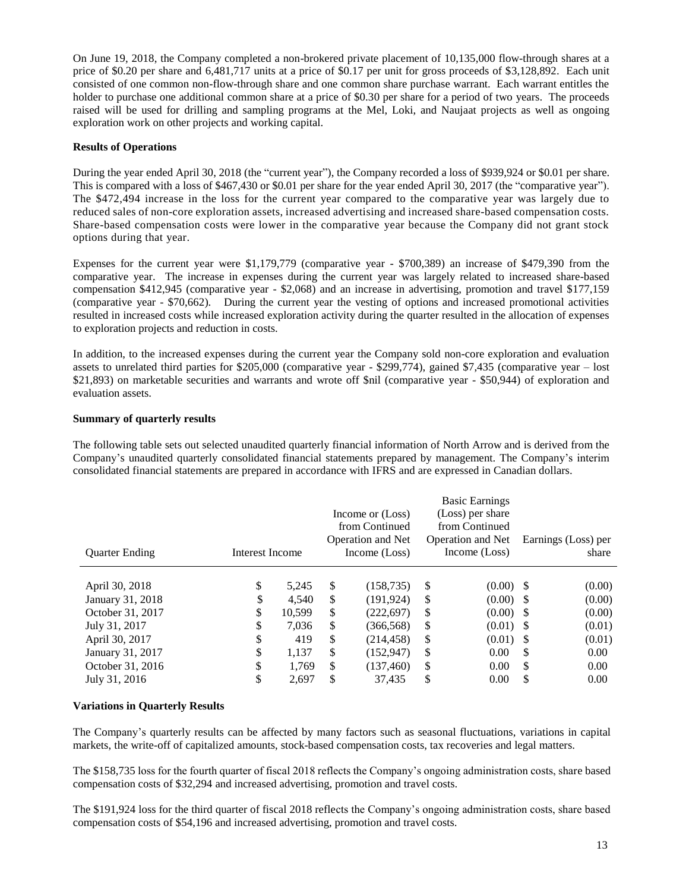On June 19, 2018, the Company completed a non-brokered private placement of 10,135,000 flow-through shares at a price of \$0.20 per share and 6,481,717 units at a price of \$0.17 per unit for gross proceeds of \$3,128,892. Each unit consisted of one common non-flow-through share and one common share purchase warrant. Each warrant entitles the holder to purchase one additional common share at a price of \$0.30 per share for a period of two years. The proceeds raised will be used for drilling and sampling programs at the Mel, Loki, and Naujaat projects as well as ongoing exploration work on other projects and working capital.

# **Results of Operations**

During the year ended April 30, 2018 (the "current year"), the Company recorded a loss of \$939,924 or \$0.01 per share. This is compared with a loss of \$467,430 or \$0.01 per share for the year ended April 30, 2017 (the "comparative year"). The \$472,494 increase in the loss for the current year compared to the comparative year was largely due to reduced sales of non-core exploration assets, increased advertising and increased share-based compensation costs. Share-based compensation costs were lower in the comparative year because the Company did not grant stock options during that year.

Expenses for the current year were \$1,179,779 (comparative year - \$700,389) an increase of \$479,390 from the comparative year. The increase in expenses during the current year was largely related to increased share-based compensation \$412,945 (comparative year - \$2,068) and an increase in advertising, promotion and travel \$177,159 (comparative year - \$70,662). During the current year the vesting of options and increased promotional activities resulted in increased costs while increased exploration activity during the quarter resulted in the allocation of expenses to exploration projects and reduction in costs.

In addition, to the increased expenses during the current year the Company sold non-core exploration and evaluation assets to unrelated third parties for \$205,000 (comparative year - \$299,774), gained \$7,435 (comparative year – lost \$21,893) on marketable securities and warrants and wrote off \$nil (comparative year - \$50,944) of exploration and evaluation assets.

# **Summary of quarterly results**

The following table sets out selected unaudited quarterly financial information of North Arrow and is derived from the Company's unaudited quarterly consolidated financial statements prepared by management. The Company's interim consolidated financial statements are prepared in accordance with IFRS and are expressed in Canadian dollars.

| <b>Quarter Ending</b> | Interest Income |        |    | Income or (Loss)<br>from Continued<br><b>Operation and Net</b><br>Income (Loss) |    | <b>Basic Earnings</b><br>(Loss) per share<br>from Continued<br><b>Operation and Net</b><br>Income (Loss) |      | Earnings (Loss) per<br>share |
|-----------------------|-----------------|--------|----|---------------------------------------------------------------------------------|----|----------------------------------------------------------------------------------------------------------|------|------------------------------|
| April 30, 2018        | \$              | 5.245  | \$ | (158, 735)                                                                      | S  | $(0.00)$ \$                                                                                              |      | (0.00)                       |
| January 31, 2018      | \$              | 4.540  | \$ | (191.924)                                                                       | S  | (0.00)                                                                                                   | - \$ | (0.00)                       |
| October 31, 2017      | \$              | 10.599 | \$ | (222, 697)                                                                      | S  | (0.00)                                                                                                   | - \$ | (0.00)                       |
| July 31, 2017         | \$              | 7,036  | \$ | (366, 568)                                                                      | \$ | (0.01)                                                                                                   | - \$ | (0.01)                       |
| April 30, 2017        | \$              | 419    | \$ | (214, 458)                                                                      | \$ | (0.01)                                                                                                   | -S   | (0.01)                       |
| January 31, 2017      | \$              | 1,137  | \$ | (152, 947)                                                                      | \$ | 0.00                                                                                                     | S    | 0.00                         |
| October 31, 2016      | \$              | 1.769  | \$ | (137, 460)                                                                      | S  | 0.00                                                                                                     | S    | 0.00                         |
| July 31, 2016         | \$              | 2,697  | S  | 37,435                                                                          | \$ | 0.00                                                                                                     | \$   | 0.00                         |

# **Variations in Quarterly Results**

The Company's quarterly results can be affected by many factors such as seasonal fluctuations, variations in capital markets, the write-off of capitalized amounts, stock-based compensation costs, tax recoveries and legal matters.

The \$158,735 loss for the fourth quarter of fiscal 2018 reflects the Company's ongoing administration costs, share based compensation costs of \$32,294 and increased advertising, promotion and travel costs.

The \$191,924 loss for the third quarter of fiscal 2018 reflects the Company's ongoing administration costs, share based compensation costs of \$54,196 and increased advertising, promotion and travel costs.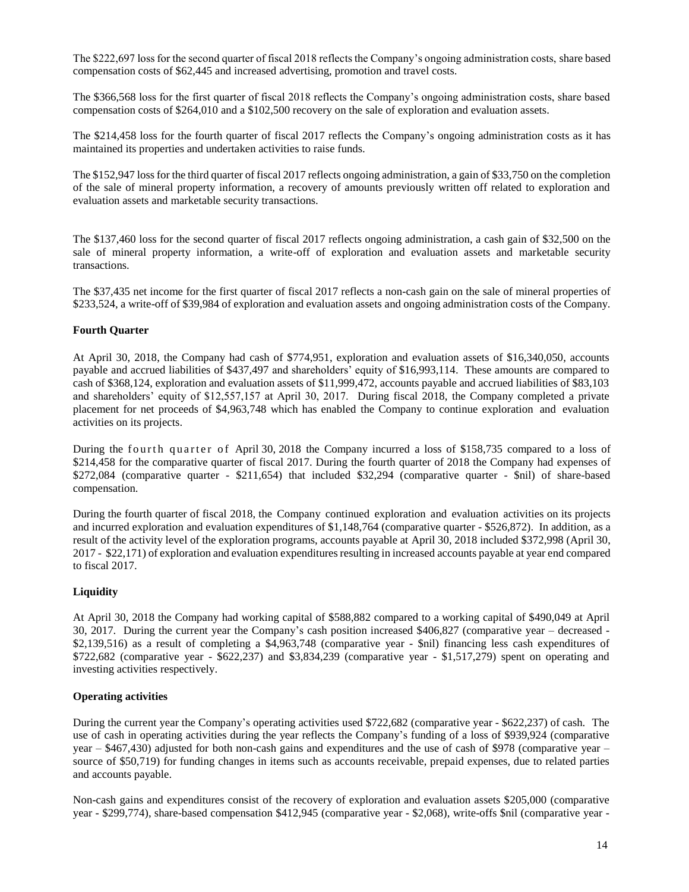The \$222,697 loss for the second quarter of fiscal 2018 reflects the Company's ongoing administration costs, share based compensation costs of \$62,445 and increased advertising, promotion and travel costs.

The \$366,568 loss for the first quarter of fiscal 2018 reflects the Company's ongoing administration costs, share based compensation costs of \$264,010 and a \$102,500 recovery on the sale of exploration and evaluation assets.

The \$214,458 loss for the fourth quarter of fiscal 2017 reflects the Company's ongoing administration costs as it has maintained its properties and undertaken activities to raise funds.

The \$152,947 loss for the third quarter of fiscal 2017 reflects ongoing administration, a gain of \$33,750 on the completion of the sale of mineral property information, a recovery of amounts previously written off related to exploration and evaluation assets and marketable security transactions.

The \$137,460 loss for the second quarter of fiscal 2017 reflects ongoing administration, a cash gain of \$32,500 on the sale of mineral property information, a write-off of exploration and evaluation assets and marketable security transactions.

The \$37,435 net income for the first quarter of fiscal 2017 reflects a non-cash gain on the sale of mineral properties of \$233,524, a write-off of \$39,984 of exploration and evaluation assets and ongoing administration costs of the Company.

# **Fourth Quarter**

At April 30, 2018, the Company had cash of \$774,951, exploration and evaluation assets of \$16,340,050, accounts payable and accrued liabilities of \$437,497 and shareholders' equity of \$16,993,114. These amounts are compared to cash of \$368,124, exploration and evaluation assets of \$11,999,472, accounts payable and accrued liabilities of \$83,103 and shareholders' equity of \$12,557,157 at April 30, 2017. During fiscal 2018, the Company completed a private placement for net proceeds of \$4,963,748 which has enabled the Company to continue exploration and evaluation activities on its projects.

During the fourth quarter of April 30, 2018 the Company incurred a loss of \$158,735 compared to a loss of \$214,458 for the comparative quarter of fiscal 2017. During the fourth quarter of 2018 the Company had expenses of \$272,084 (comparative quarter - \$211,654) that included \$32,294 (comparative quarter - \$nil) of share-based compensation.

During the fourth quarter of fiscal 2018, the Company continued exploration and evaluation activities on its projects and incurred exploration and evaluation expenditures of \$1,148,764 (comparative quarter - \$526,872). In addition, as a result of the activity level of the exploration programs, accounts payable at April 30, 2018 included \$372,998 (April 30, 2017 - \$22,171) of exploration and evaluation expenditures resulting in increased accounts payable at year end compared to fiscal 2017.

# **Liquidity**

At April 30, 2018 the Company had working capital of \$588,882 compared to a working capital of \$490,049 at April 30, 2017. During the current year the Company's cash position increased \$406,827 (comparative year – decreased - \$2,139,516) as a result of completing a \$4,963,748 (comparative year - \$nil) financing less cash expenditures of \$722,682 (comparative year - \$622,237) and \$3,834,239 (comparative year - \$1,517,279) spent on operating and investing activities respectively.

# **Operating activities**

During the current year the Company's operating activities used \$722,682 (comparative year - \$622,237) of cash. The use of cash in operating activities during the year reflects the Company's funding of a loss of \$939,924 (comparative year – \$467,430) adjusted for both non-cash gains and expenditures and the use of cash of \$978 (comparative year – source of \$50,719) for funding changes in items such as accounts receivable, prepaid expenses, due to related parties and accounts payable.

Non-cash gains and expenditures consist of the recovery of exploration and evaluation assets \$205,000 (comparative year - \$299,774), share-based compensation \$412,945 (comparative year - \$2,068), write-offs \$nil (comparative year -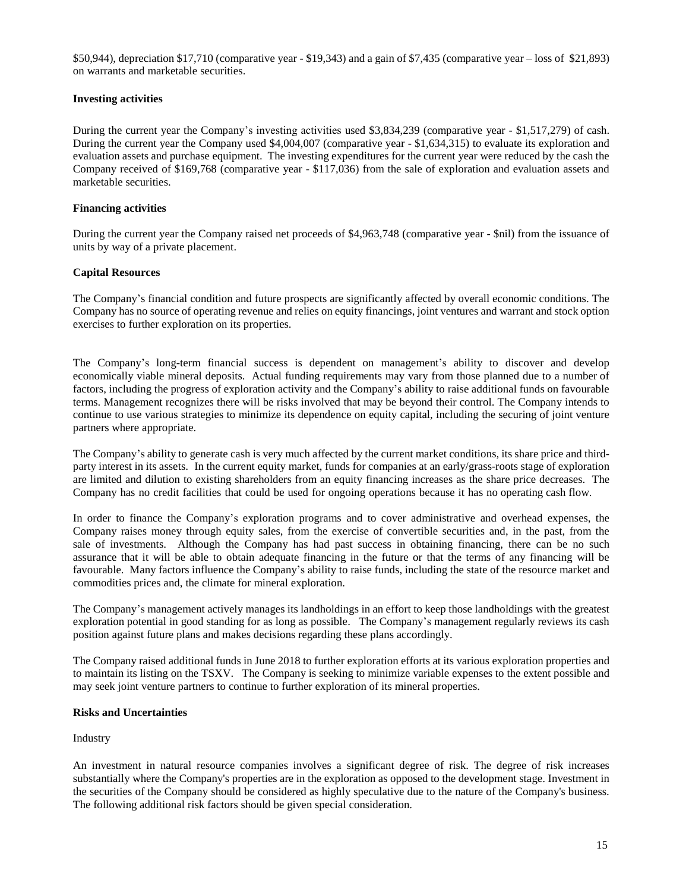\$50,944), depreciation \$17,710 (comparative year - \$19,343) and a gain of \$7,435 (comparative year – loss of \$21,893) on warrants and marketable securities.

# **Investing activities**

During the current year the Company's investing activities used \$3,834,239 (comparative year - \$1,517,279) of cash. During the current year the Company used \$4,004,007 (comparative year - \$1,634,315) to evaluate its exploration and evaluation assets and purchase equipment. The investing expenditures for the current year were reduced by the cash the Company received of \$169,768 (comparative year - \$117,036) from the sale of exploration and evaluation assets and marketable securities.

#### **Financing activities**

During the current year the Company raised net proceeds of \$4,963,748 (comparative year - \$nil) from the issuance of units by way of a private placement.

# **Capital Resources**

The Company's financial condition and future prospects are significantly affected by overall economic conditions. The Company has no source of operating revenue and relies on equity financings, joint ventures and warrant and stock option exercises to further exploration on its properties.

The Company's long-term financial success is dependent on management's ability to discover and develop economically viable mineral deposits. Actual funding requirements may vary from those planned due to a number of factors, including the progress of exploration activity and the Company's ability to raise additional funds on favourable terms. Management recognizes there will be risks involved that may be beyond their control. The Company intends to continue to use various strategies to minimize its dependence on equity capital, including the securing of joint venture partners where appropriate.

The Company's ability to generate cash is very much affected by the current market conditions, its share price and thirdparty interest in its assets. In the current equity market, funds for companies at an early/grass-roots stage of exploration are limited and dilution to existing shareholders from an equity financing increases as the share price decreases. The Company has no credit facilities that could be used for ongoing operations because it has no operating cash flow.

In order to finance the Company's exploration programs and to cover administrative and overhead expenses, the Company raises money through equity sales, from the exercise of convertible securities and, in the past, from the sale of investments. Although the Company has had past success in obtaining financing, there can be no such assurance that it will be able to obtain adequate financing in the future or that the terms of any financing will be favourable. Many factors influence the Company's ability to raise funds, including the state of the resource market and commodities prices and, the climate for mineral exploration.

The Company's management actively manages its landholdings in an effort to keep those landholdings with the greatest exploration potential in good standing for as long as possible. The Company's management regularly reviews its cash position against future plans and makes decisions regarding these plans accordingly.

The Company raised additional funds in June 2018 to further exploration efforts at its various exploration properties and to maintain its listing on the TSXV. The Company is seeking to minimize variable expenses to the extent possible and may seek joint venture partners to continue to further exploration of its mineral properties.

#### **Risks and Uncertainties**

#### Industry

An investment in natural resource companies involves a significant degree of risk. The degree of risk increases substantially where the Company's properties are in the exploration as opposed to the development stage. Investment in the securities of the Company should be considered as highly speculative due to the nature of the Company's business. The following additional risk factors should be given special consideration.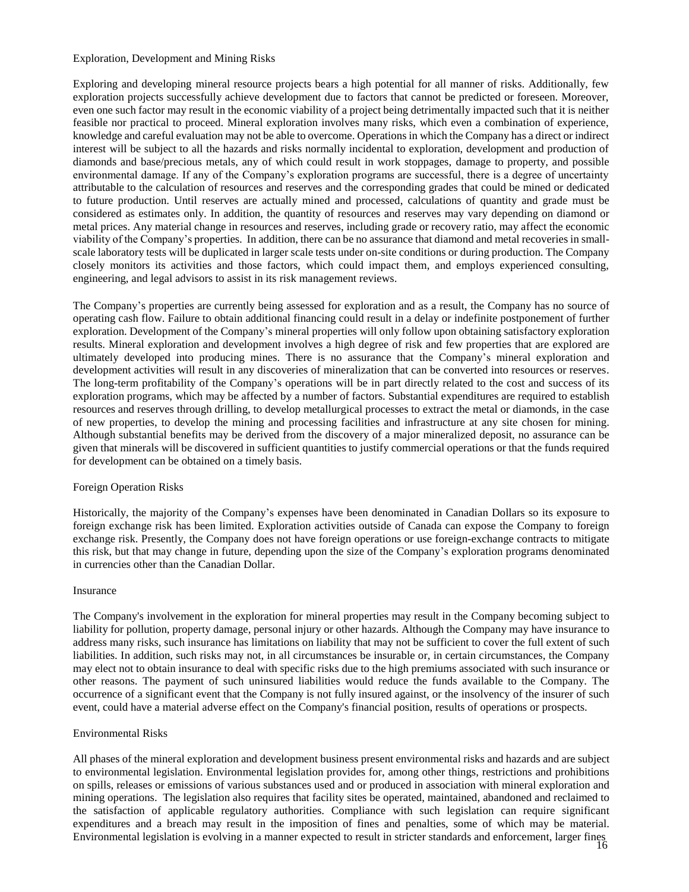#### Exploration, Development and Mining Risks

Exploring and developing mineral resource projects bears a high potential for all manner of risks. Additionally, few exploration projects successfully achieve development due to factors that cannot be predicted or foreseen. Moreover, even one such factor may result in the economic viability of a project being detrimentally impacted such that it is neither feasible nor practical to proceed. Mineral exploration involves many risks, which even a combination of experience, knowledge and careful evaluation may not be able to overcome. Operations in which the Company has a direct or indirect interest will be subject to all the hazards and risks normally incidental to exploration, development and production of diamonds and base/precious metals, any of which could result in work stoppages, damage to property, and possible environmental damage. If any of the Company's exploration programs are successful, there is a degree of uncertainty attributable to the calculation of resources and reserves and the corresponding grades that could be mined or dedicated to future production. Until reserves are actually mined and processed, calculations of quantity and grade must be considered as estimates only. In addition, the quantity of resources and reserves may vary depending on diamond or metal prices. Any material change in resources and reserves, including grade or recovery ratio, may affect the economic viability of the Company's properties. In addition, there can be no assurance that diamond and metal recoveries in smallscale laboratory tests will be duplicated in larger scale tests under on-site conditions or during production. The Company closely monitors its activities and those factors, which could impact them, and employs experienced consulting, engineering, and legal advisors to assist in its risk management reviews.

The Company's properties are currently being assessed for exploration and as a result, the Company has no source of operating cash flow. Failure to obtain additional financing could result in a delay or indefinite postponement of further exploration. Development of the Company's mineral properties will only follow upon obtaining satisfactory exploration results. Mineral exploration and development involves a high degree of risk and few properties that are explored are ultimately developed into producing mines. There is no assurance that the Company's mineral exploration and development activities will result in any discoveries of mineralization that can be converted into resources or reserves. The long-term profitability of the Company's operations will be in part directly related to the cost and success of its exploration programs, which may be affected by a number of factors. Substantial expenditures are required to establish resources and reserves through drilling, to develop metallurgical processes to extract the metal or diamonds, in the case of new properties, to develop the mining and processing facilities and infrastructure at any site chosen for mining. Although substantial benefits may be derived from the discovery of a major mineralized deposit, no assurance can be given that minerals will be discovered in sufficient quantities to justify commercial operations or that the funds required for development can be obtained on a timely basis.

#### Foreign Operation Risks

Historically, the majority of the Company's expenses have been denominated in Canadian Dollars so its exposure to foreign exchange risk has been limited. Exploration activities outside of Canada can expose the Company to foreign exchange risk. Presently, the Company does not have foreign operations or use foreign-exchange contracts to mitigate this risk, but that may change in future, depending upon the size of the Company's exploration programs denominated in currencies other than the Canadian Dollar.

#### Insurance

The Company's involvement in the exploration for mineral properties may result in the Company becoming subject to liability for pollution, property damage, personal injury or other hazards. Although the Company may have insurance to address many risks, such insurance has limitations on liability that may not be sufficient to cover the full extent of such liabilities. In addition, such risks may not, in all circumstances be insurable or, in certain circumstances, the Company may elect not to obtain insurance to deal with specific risks due to the high premiums associated with such insurance or other reasons. The payment of such uninsured liabilities would reduce the funds available to the Company. The occurrence of a significant event that the Company is not fully insured against, or the insolvency of the insurer of such event, could have a material adverse effect on the Company's financial position, results of operations or prospects.

#### Environmental Risks

16 Environmental legislation is evolving in a manner expected to result in stricter standards and enforcement, larger finesAll phases of the mineral exploration and development business present environmental risks and hazards and are subject to environmental legislation. Environmental legislation provides for, among other things, restrictions and prohibitions on spills, releases or emissions of various substances used and or produced in association with mineral exploration and mining operations. The legislation also requires that facility sites be operated, maintained, abandoned and reclaimed to the satisfaction of applicable regulatory authorities. Compliance with such legislation can require significant expenditures and a breach may result in the imposition of fines and penalties, some of which may be material.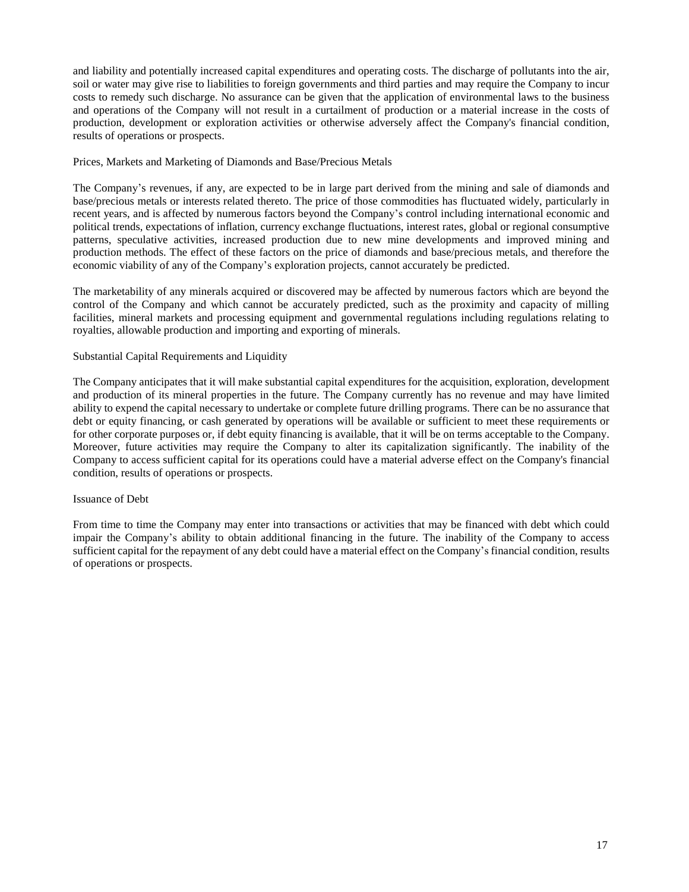and liability and potentially increased capital expenditures and operating costs. The discharge of pollutants into the air, soil or water may give rise to liabilities to foreign governments and third parties and may require the Company to incur costs to remedy such discharge. No assurance can be given that the application of environmental laws to the business and operations of the Company will not result in a curtailment of production or a material increase in the costs of production, development or exploration activities or otherwise adversely affect the Company's financial condition, results of operations or prospects.

# Prices, Markets and Marketing of Diamonds and Base/Precious Metals

The Company's revenues, if any, are expected to be in large part derived from the mining and sale of diamonds and base/precious metals or interests related thereto. The price of those commodities has fluctuated widely, particularly in recent years, and is affected by numerous factors beyond the Company's control including international economic and political trends, expectations of inflation, currency exchange fluctuations, interest rates, global or regional consumptive patterns, speculative activities, increased production due to new mine developments and improved mining and production methods. The effect of these factors on the price of diamonds and base/precious metals, and therefore the economic viability of any of the Company's exploration projects, cannot accurately be predicted.

The marketability of any minerals acquired or discovered may be affected by numerous factors which are beyond the control of the Company and which cannot be accurately predicted, such as the proximity and capacity of milling facilities, mineral markets and processing equipment and governmental regulations including regulations relating to royalties, allowable production and importing and exporting of minerals.

# Substantial Capital Requirements and Liquidity

The Company anticipates that it will make substantial capital expenditures for the acquisition, exploration, development and production of its mineral properties in the future. The Company currently has no revenue and may have limited ability to expend the capital necessary to undertake or complete future drilling programs. There can be no assurance that debt or equity financing, or cash generated by operations will be available or sufficient to meet these requirements or for other corporate purposes or, if debt equity financing is available, that it will be on terms acceptable to the Company. Moreover, future activities may require the Company to alter its capitalization significantly. The inability of the Company to access sufficient capital for its operations could have a material adverse effect on the Company's financial condition, results of operations or prospects.

#### Issuance of Debt

From time to time the Company may enter into transactions or activities that may be financed with debt which could impair the Company's ability to obtain additional financing in the future. The inability of the Company to access sufficient capital for the repayment of any debt could have a material effect on the Company's financial condition, results of operations or prospects.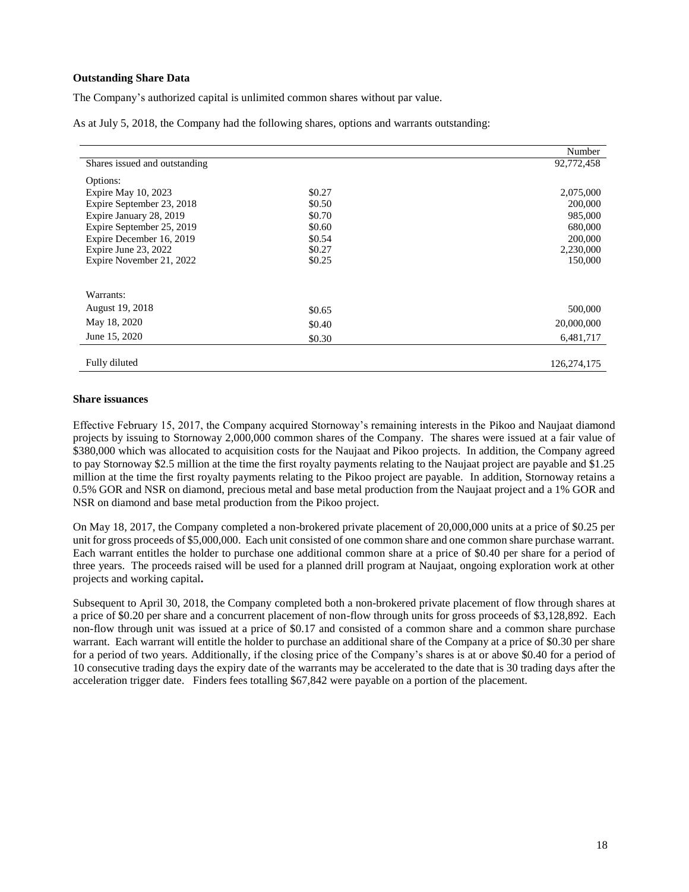# **Outstanding Share Data**

The Company's authorized capital is unlimited common shares without par value.

As at July 5, 2018, the Company had the following shares, options and warrants outstanding:

|                               |        | Number        |
|-------------------------------|--------|---------------|
| Shares issued and outstanding |        | 92,772,458    |
| Options:                      |        |               |
| Expire May 10, 2023           | \$0.27 | 2,075,000     |
| Expire September 23, 2018     | \$0.50 | 200,000       |
| Expire January 28, 2019       | \$0.70 | 985,000       |
| Expire September 25, 2019     | \$0.60 | 680,000       |
| Expire December 16, 2019      | \$0.54 | 200,000       |
| Expire June 23, 2022          | \$0.27 | 2,230,000     |
| Expire November 21, 2022      | \$0.25 | 150,000       |
|                               |        |               |
| Warrants:                     |        |               |
| August 19, 2018               | \$0.65 | 500,000       |
| May 18, 2020                  | \$0.40 | 20,000,000    |
| June 15, 2020                 | \$0.30 | 6,481,717     |
|                               |        |               |
| Fully diluted                 |        | 126, 274, 175 |

#### **Share issuances**

Effective February 15, 2017, the Company acquired Stornoway's remaining interests in the Pikoo and Naujaat diamond projects by issuing to Stornoway 2,000,000 common shares of the Company. The shares were issued at a fair value of \$380,000 which was allocated to acquisition costs for the Naujaat and Pikoo projects. In addition, the Company agreed to pay Stornoway \$2.5 million at the time the first royalty payments relating to the Naujaat project are payable and \$1.25 million at the time the first royalty payments relating to the Pikoo project are payable. In addition, Stornoway retains a 0.5% GOR and NSR on diamond, precious metal and base metal production from the Naujaat project and a 1% GOR and NSR on diamond and base metal production from the Pikoo project.

On May 18, 2017, the Company completed a non-brokered private placement of 20,000,000 units at a price of \$0.25 per unit for gross proceeds of \$5,000,000. Each unit consisted of one common share and one common share purchase warrant. Each warrant entitles the holder to purchase one additional common share at a price of \$0.40 per share for a period of three years. The proceeds raised will be used for a planned drill program at Naujaat, ongoing exploration work at other projects and working capital**.**

Subsequent to April 30, 2018, the Company completed both a non-brokered private placement of flow through shares at a price of \$0.20 per share and a concurrent placement of non-flow through units for gross proceeds of \$3,128,892. Each non-flow through unit was issued at a price of \$0.17 and consisted of a common share and a common share purchase warrant. Each warrant will entitle the holder to purchase an additional share of the Company at a price of \$0.30 per share for a period of two years. Additionally, if the closing price of the Company's shares is at or above \$0.40 for a period of 10 consecutive trading days the expiry date of the warrants may be accelerated to the date that is 30 trading days after the acceleration trigger date. Finders fees totalling \$67,842 were payable on a portion of the placement.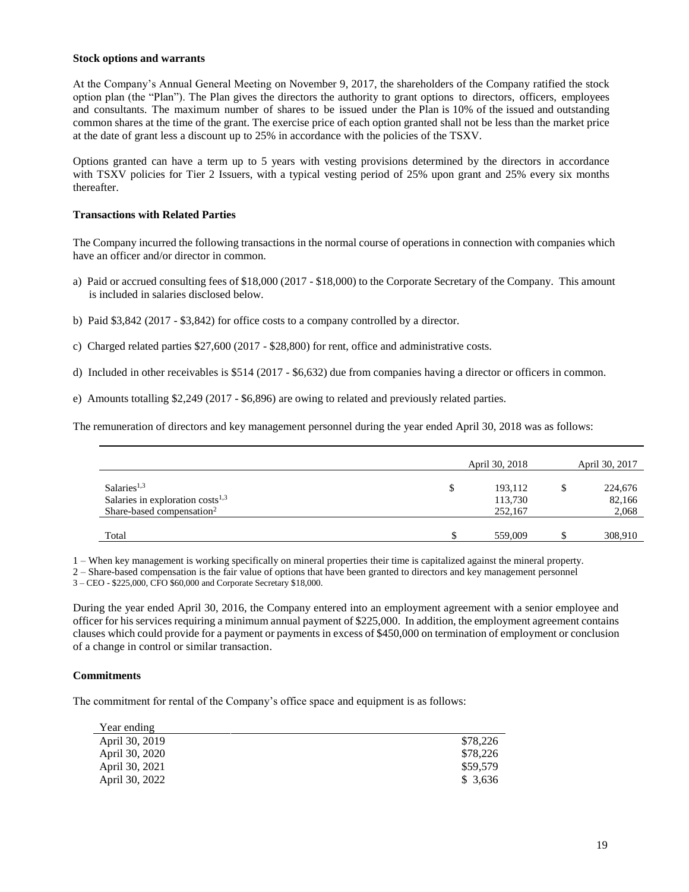#### **Stock options and warrants**

At the Company's Annual General Meeting on November 9, 2017, the shareholders of the Company ratified the stock option plan (the "Plan"). The Plan gives the directors the authority to grant options to directors, officers, employees and consultants. The maximum number of shares to be issued under the Plan is 10% of the issued and outstanding common shares at the time of the grant. The exercise price of each option granted shall not be less than the market price at the date of grant less a discount up to 25% in accordance with the policies of the TSXV.

Options granted can have a term up to 5 years with vesting provisions determined by the directors in accordance with TSXV policies for Tier 2 Issuers, with a typical vesting period of 25% upon grant and 25% every six months thereafter.

#### **Transactions with Related Parties**

The Company incurred the following transactions in the normal course of operations in connection with companies which have an officer and/or director in common.

- a) Paid or accrued consulting fees of \$18,000 (2017 \$18,000) to the Corporate Secretary of the Company. This amount is included in salaries disclosed below.
- b) Paid \$3,842 (2017 \$3,842) for office costs to a company controlled by a director.
- c) Charged related parties \$27,600 (2017 \$28,800) for rent, office and administrative costs.
- d) Included in other receivables is \$514 (2017 \$6,632) due from companies having a director or officers in common.
- e) Amounts totalling \$2,249 (2017 \$6,896) are owing to related and previously related parties.

The remuneration of directors and key management personnel during the year ended April 30, 2018 was as follows:

|                                       | April 30, 2018 | April 30, 2017 |
|---------------------------------------|----------------|----------------|
| Salaries <sup>1,3</sup>               | \$<br>193,112  | 224,676        |
| Salaries in exploration $costs^{1,3}$ | 113,730        | 82,166         |
| Share-based compensation <sup>2</sup> | 252,167        | 2,068          |
|                                       |                |                |
| Total                                 | 559,009        | 308,910        |

1 – When key management is working specifically on mineral properties their time is capitalized against the mineral property.

2 – Share-based compensation is the fair value of options that have been granted to directors and key management personnel

3 – CEO - \$225,000, CFO \$60,000 and Corporate Secretary \$18,000.

During the year ended April 30, 2016, the Company entered into an employment agreement with a senior employee and officer for his services requiring a minimum annual payment of \$225,000. In addition, the employment agreement contains clauses which could provide for a payment or payments in excess of \$450,000 on termination of employment or conclusion of a change in control or similar transaction.

#### **Commitments**

The commitment for rental of the Company's office space and equipment is as follows:

| Year ending    |          |
|----------------|----------|
| April 30, 2019 | \$78,226 |
| April 30, 2020 | \$78,226 |
| April 30, 2021 | \$59,579 |
| April 30, 2022 | \$3.636  |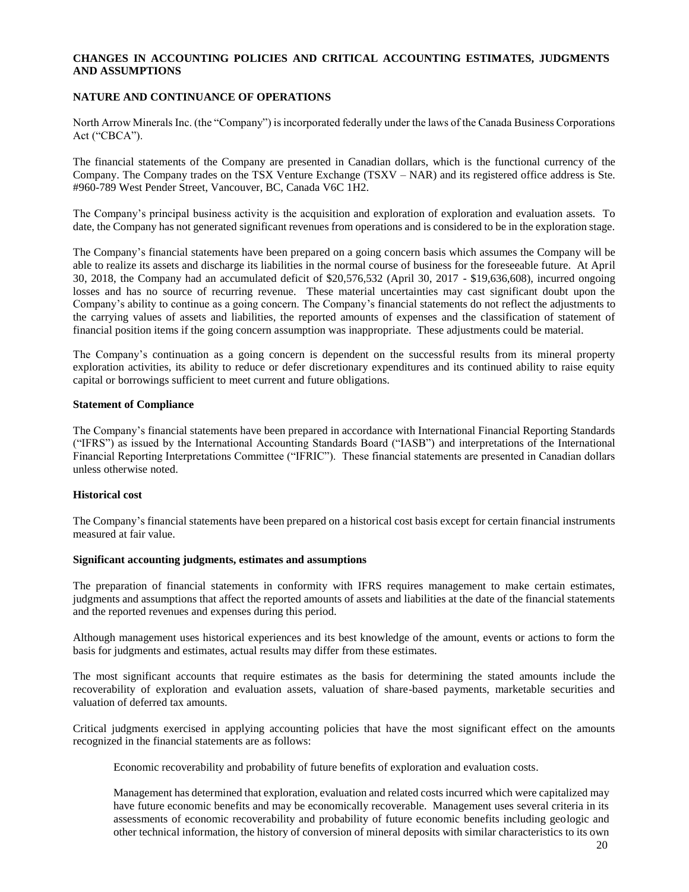# **CHANGES IN ACCOUNTING POLICIES AND CRITICAL ACCOUNTING ESTIMATES, JUDGMENTS AND ASSUMPTIONS**

# **NATURE AND CONTINUANCE OF OPERATIONS**

North Arrow Minerals Inc. (the "Company") is incorporated federally under the laws of the Canada Business Corporations Act ("CBCA").

The financial statements of the Company are presented in Canadian dollars, which is the functional currency of the Company. The Company trades on the TSX Venture Exchange (TSXV – NAR) and its registered office address is Ste. #960-789 West Pender Street, Vancouver, BC, Canada V6C 1H2.

The Company's principal business activity is the acquisition and exploration of exploration and evaluation assets. To date, the Company has not generated significant revenues from operations and is considered to be in the exploration stage.

The Company's financial statements have been prepared on a going concern basis which assumes the Company will be able to realize its assets and discharge its liabilities in the normal course of business for the foreseeable future. At April 30, 2018, the Company had an accumulated deficit of \$20,576,532 (April 30, 2017 - \$19,636,608), incurred ongoing losses and has no source of recurring revenue. These material uncertainties may cast significant doubt upon the Company's ability to continue as a going concern. The Company's financial statements do not reflect the adjustments to the carrying values of assets and liabilities, the reported amounts of expenses and the classification of statement of financial position items if the going concern assumption was inappropriate. These adjustments could be material.

The Company's continuation as a going concern is dependent on the successful results from its mineral property exploration activities, its ability to reduce or defer discretionary expenditures and its continued ability to raise equity capital or borrowings sufficient to meet current and future obligations.

#### **Statement of Compliance**

The Company's financial statements have been prepared in accordance with International Financial Reporting Standards ("IFRS") as issued by the International Accounting Standards Board ("IASB") and interpretations of the International Financial Reporting Interpretations Committee ("IFRIC"). These financial statements are presented in Canadian dollars unless otherwise noted.

#### **Historical cost**

The Company's financial statements have been prepared on a historical cost basis except for certain financial instruments measured at fair value.

#### **Significant accounting judgments, estimates and assumptions**

The preparation of financial statements in conformity with IFRS requires management to make certain estimates, judgments and assumptions that affect the reported amounts of assets and liabilities at the date of the financial statements and the reported revenues and expenses during this period.

Although management uses historical experiences and its best knowledge of the amount, events or actions to form the basis for judgments and estimates, actual results may differ from these estimates.

The most significant accounts that require estimates as the basis for determining the stated amounts include the recoverability of exploration and evaluation assets, valuation of share-based payments, marketable securities and valuation of deferred tax amounts.

Critical judgments exercised in applying accounting policies that have the most significant effect on the amounts recognized in the financial statements are as follows:

Economic recoverability and probability of future benefits of exploration and evaluation costs*.* 

Management has determined that exploration, evaluation and related costs incurred which were capitalized may have future economic benefits and may be economically recoverable. Management uses several criteria in its assessments of economic recoverability and probability of future economic benefits including geologic and other technical information, the history of conversion of mineral deposits with similar characteristics to its own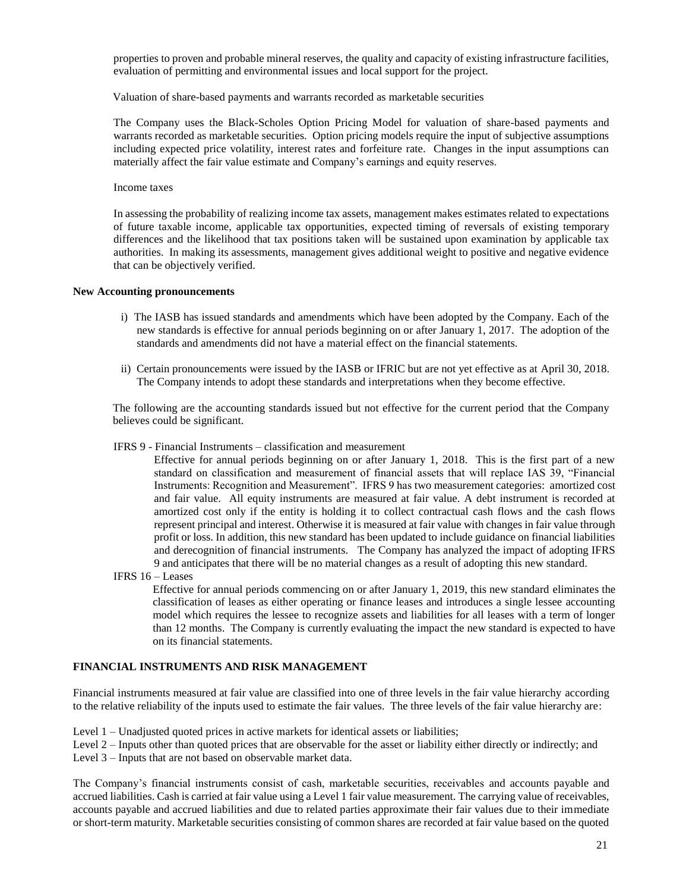properties to proven and probable mineral reserves, the quality and capacity of existing infrastructure facilities, evaluation of permitting and environmental issues and local support for the project.

Valuation of share-based payments and warrants recorded as marketable securities

The Company uses the Black-Scholes Option Pricing Model for valuation of share-based payments and warrants recorded as marketable securities. Option pricing models require the input of subjective assumptions including expected price volatility, interest rates and forfeiture rate. Changes in the input assumptions can materially affect the fair value estimate and Company's earnings and equity reserves.

Income taxes

In assessing the probability of realizing income tax assets, management makes estimates related to expectations of future taxable income, applicable tax opportunities, expected timing of reversals of existing temporary differences and the likelihood that tax positions taken will be sustained upon examination by applicable tax authorities. In making its assessments, management gives additional weight to positive and negative evidence that can be objectively verified.

#### **New Accounting pronouncements**

- i) The IASB has issued standards and amendments which have been adopted by the Company. Each of the new standards is effective for annual periods beginning on or after January 1, 2017. The adoption of the standards and amendments did not have a material effect on the financial statements.
- ii) Certain pronouncements were issued by the IASB or IFRIC but are not yet effective as at April 30, 2018. The Company intends to adopt these standards and interpretations when they become effective.

The following are the accounting standards issued but not effective for the current period that the Company believes could be significant.

#### IFRS 9 - Financial Instruments – classification and measurement

Effective for annual periods beginning on or after January 1, 2018. This is the first part of a new standard on classification and measurement of financial assets that will replace IAS 39, "Financial Instruments: Recognition and Measurement". IFRS 9 has two measurement categories: amortized cost and fair value. All equity instruments are measured at fair value. A debt instrument is recorded at amortized cost only if the entity is holding it to collect contractual cash flows and the cash flows represent principal and interest. Otherwise it is measured at fair value with changes in fair value through profit or loss. In addition, this new standard has been updated to include guidance on financial liabilities and derecognition of financial instruments. The Company has analyzed the impact of adopting IFRS 9 and anticipates that there will be no material changes as a result of adopting this new standard.

IFRS 16 – Leases

Effective for annual periods commencing on or after January 1, 2019, this new standard eliminates the classification of leases as either operating or finance leases and introduces a single lessee accounting model which requires the lessee to recognize assets and liabilities for all leases with a term of longer than 12 months. The Company is currently evaluating the impact the new standard is expected to have on its financial statements.

# **FINANCIAL INSTRUMENTS AND RISK MANAGEMENT**

Financial instruments measured at fair value are classified into one of three levels in the fair value hierarchy according to the relative reliability of the inputs used to estimate the fair values. The three levels of the fair value hierarchy are:

Level 1 – Unadjusted quoted prices in active markets for identical assets or liabilities;

Level 2 – Inputs other than quoted prices that are observable for the asset or liability either directly or indirectly; and Level 3 – Inputs that are not based on observable market data.

The Company's financial instruments consist of cash, marketable securities, receivables and accounts payable and accrued liabilities. Cash is carried at fair value using a Level 1 fair value measurement. The carrying value of receivables, accounts payable and accrued liabilities and due to related parties approximate their fair values due to their immediate or short-term maturity. Marketable securities consisting of common shares are recorded at fair value based on the quoted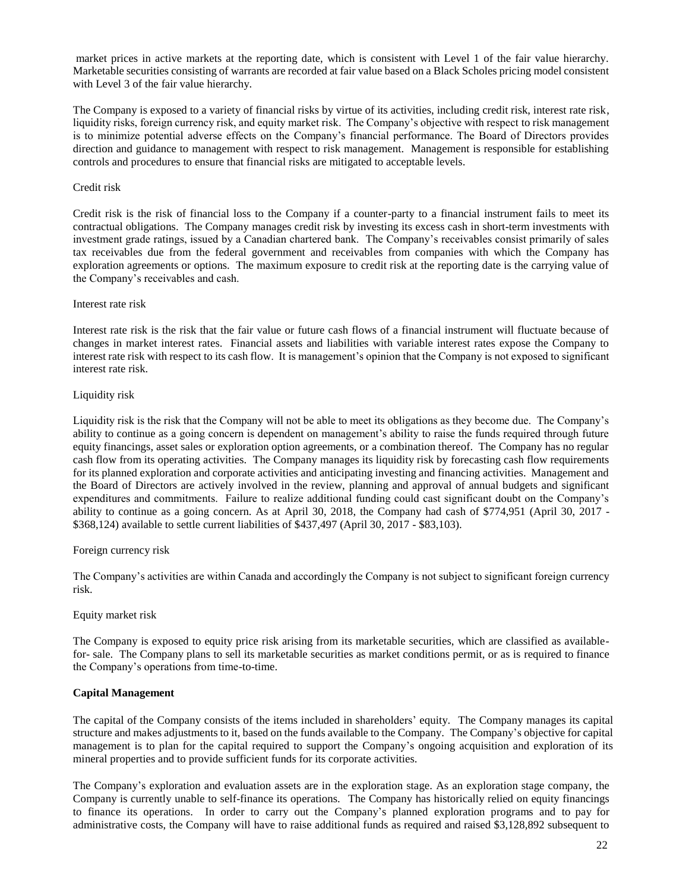market prices in active markets at the reporting date, which is consistent with Level 1 of the fair value hierarchy. Marketable securities consisting of warrants are recorded at fair value based on a Black Scholes pricing model consistent with Level 3 of the fair value hierarchy.

The Company is exposed to a variety of financial risks by virtue of its activities, including credit risk, interest rate risk, liquidity risks, foreign currency risk, and equity market risk. The Company's objective with respect to risk management is to minimize potential adverse effects on the Company's financial performance. The Board of Directors provides direction and guidance to management with respect to risk management. Management is responsible for establishing controls and procedures to ensure that financial risks are mitigated to acceptable levels.

# Credit risk

Credit risk is the risk of financial loss to the Company if a counter-party to a financial instrument fails to meet its contractual obligations. The Company manages credit risk by investing its excess cash in short-term investments with investment grade ratings, issued by a Canadian chartered bank. The Company's receivables consist primarily of sales tax receivables due from the federal government and receivables from companies with which the Company has exploration agreements or options. The maximum exposure to credit risk at the reporting date is the carrying value of the Company's receivables and cash.

#### Interest rate risk

Interest rate risk is the risk that the fair value or future cash flows of a financial instrument will fluctuate because of changes in market interest rates. Financial assets and liabilities with variable interest rates expose the Company to interest rate risk with respect to its cash flow. It is management's opinion that the Company is not exposed to significant interest rate risk.

# Liquidity risk

Liquidity risk is the risk that the Company will not be able to meet its obligations as they become due. The Company's ability to continue as a going concern is dependent on management's ability to raise the funds required through future equity financings, asset sales or exploration option agreements, or a combination thereof. The Company has no regular cash flow from its operating activities. The Company manages its liquidity risk by forecasting cash flow requirements for its planned exploration and corporate activities and anticipating investing and financing activities. Management and the Board of Directors are actively involved in the review, planning and approval of annual budgets and significant expenditures and commitments. Failure to realize additional funding could cast significant doubt on the Company's ability to continue as a going concern. As at April 30, 2018, the Company had cash of \$774,951 (April 30, 2017 - \$368,124) available to settle current liabilities of \$437,497 (April 30, 2017 - \$83,103).

#### Foreign currency risk

The Company's activities are within Canada and accordingly the Company is not subject to significant foreign currency risk.

#### Equity market risk

The Company is exposed to equity price risk arising from its marketable securities, which are classified as availablefor- sale. The Company plans to sell its marketable securities as market conditions permit, or as is required to finance the Company's operations from time-to-time.

# **Capital Management**

The capital of the Company consists of the items included in shareholders' equity. The Company manages its capital structure and makes adjustments to it, based on the funds available to the Company. The Company's objective for capital management is to plan for the capital required to support the Company's ongoing acquisition and exploration of its mineral properties and to provide sufficient funds for its corporate activities.

The Company's exploration and evaluation assets are in the exploration stage. As an exploration stage company, the Company is currently unable to self-finance its operations. The Company has historically relied on equity financings to finance its operations. In order to carry out the Company's planned exploration programs and to pay for administrative costs, the Company will have to raise additional funds as required and raised \$3,128,892 subsequent to